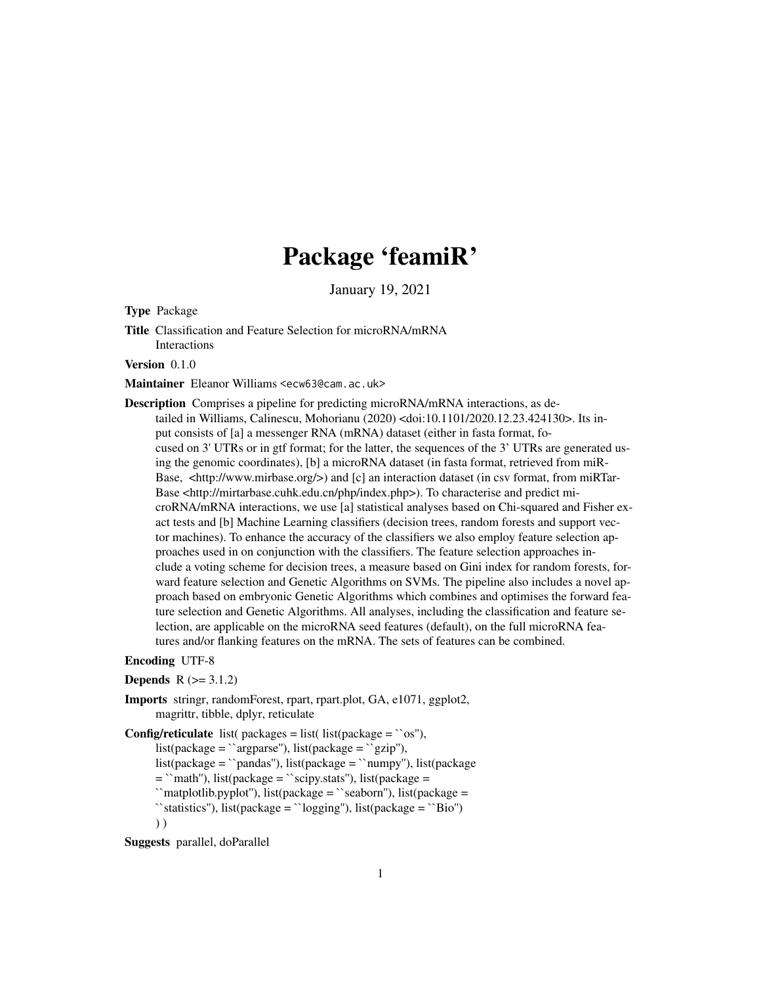# Package 'feamiR'

January 19, 2021

<span id="page-0-0"></span>Type Package

Title Classification and Feature Selection for microRNA/mRNA Interactions

Version 0.1.0

Maintainer Eleanor Williams <ecw63@cam.ac.uk>

Description Comprises a pipeline for predicting microRNA/mRNA interactions, as detailed in Williams, Calinescu, Mohorianu (2020) <doi:10.1101/2020.12.23.424130>. Its input consists of [a] a messenger RNA (mRNA) dataset (either in fasta format, focused on 3' UTRs or in gtf format; for the latter, the sequences of the 3' UTRs are generated using the genomic coordinates), [b] a microRNA dataset (in fasta format, retrieved from miR-Base, <http://www.mirbase.org/>) and [c] an interaction dataset (in csv format, from miRTar-Base <http://mirtarbase.cuhk.edu.cn/php/index.php>). To characterise and predict microRNA/mRNA interactions, we use [a] statistical analyses based on Chi-squared and Fisher exact tests and [b] Machine Learning classifiers (decision trees, random forests and support vector machines). To enhance the accuracy of the classifiers we also employ feature selection approaches used in on conjunction with the classifiers. The feature selection approaches include a voting scheme for decision trees, a measure based on Gini index for random forests, forward feature selection and Genetic Algorithms on SVMs. The pipeline also includes a novel approach based on embryonic Genetic Algorithms which combines and optimises the forward feature selection and Genetic Algorithms. All analyses, including the classification and feature selection, are applicable on the microRNA seed features (default), on the full microRNA features and/or flanking features on the mRNA. The sets of features can be combined.

#### Encoding UTF-8

**Depends**  $R (= 3.1.2)$ 

Imports stringr, randomForest, rpart, rpart.plot, GA, e1071, ggplot2, magrittr, tibble, dplyr, reticulate

**Config/reticulate** list( packages = list( list(package =  $\cos$ "), list(package = `argparse''), list(package = `gzip''), list(package = ``pandas''), list(package = ``numpy''), list(package  $=$  `math''), list(package  $=$  `scipy.stats''), list(package  $=$ ``matplotlib.pyplot''), list(package = ``seaborn''), list(package = ``statistics''), list(package = ``logging''), list(package = ``Bio'') ) )

Suggests parallel, doParallel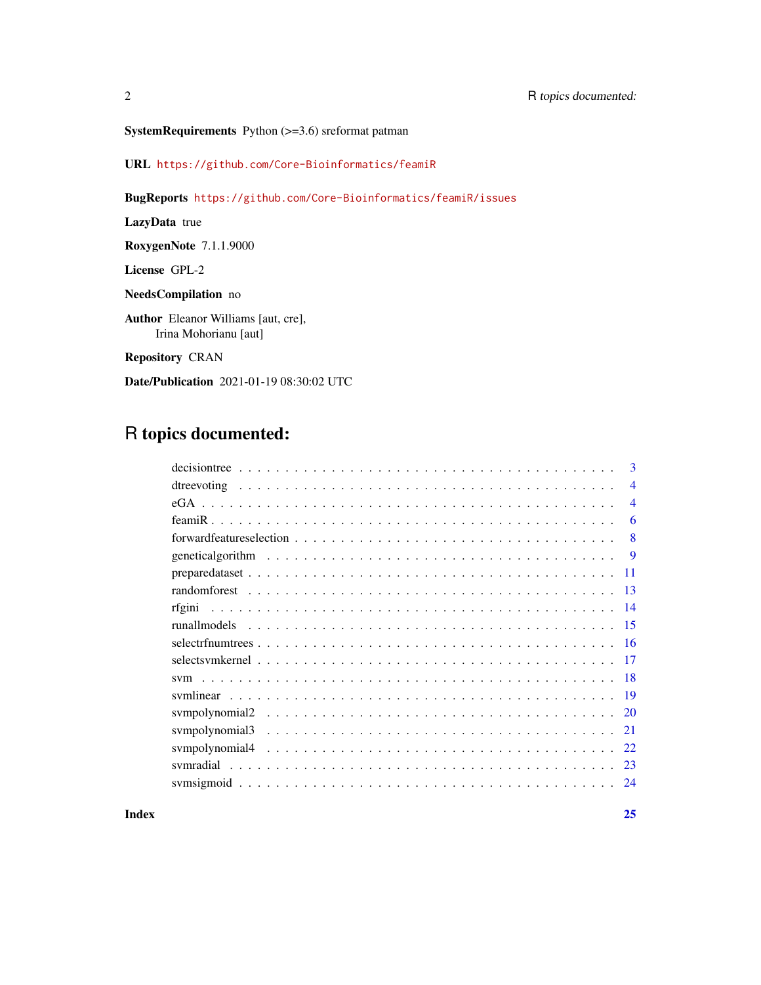URL <https://github.com/Core-Bioinformatics/feamiR>

BugReports <https://github.com/Core-Bioinformatics/feamiR/issues>

LazyData true

RoxygenNote 7.1.1.9000

License GPL-2

NeedsCompilation no

Author Eleanor Williams [aut, cre], Irina Mohorianu [aut]

Repository CRAN

Date/Publication 2021-01-19 08:30:02 UTC

# R topics documented:

|        | 3              |
|--------|----------------|
|        | $\overline{4}$ |
|        | $\overline{4}$ |
|        | 6              |
|        | 8              |
|        | 9              |
|        | 11             |
|        | 13             |
| rfgini | 14             |
|        | 15             |
|        | 16             |
|        | 17             |
|        | -18            |
|        | -19            |
|        | 20             |
|        | 21             |
|        | 22             |
|        | -23            |
|        | 24             |
|        |                |

**Index** [25](#page-24-0)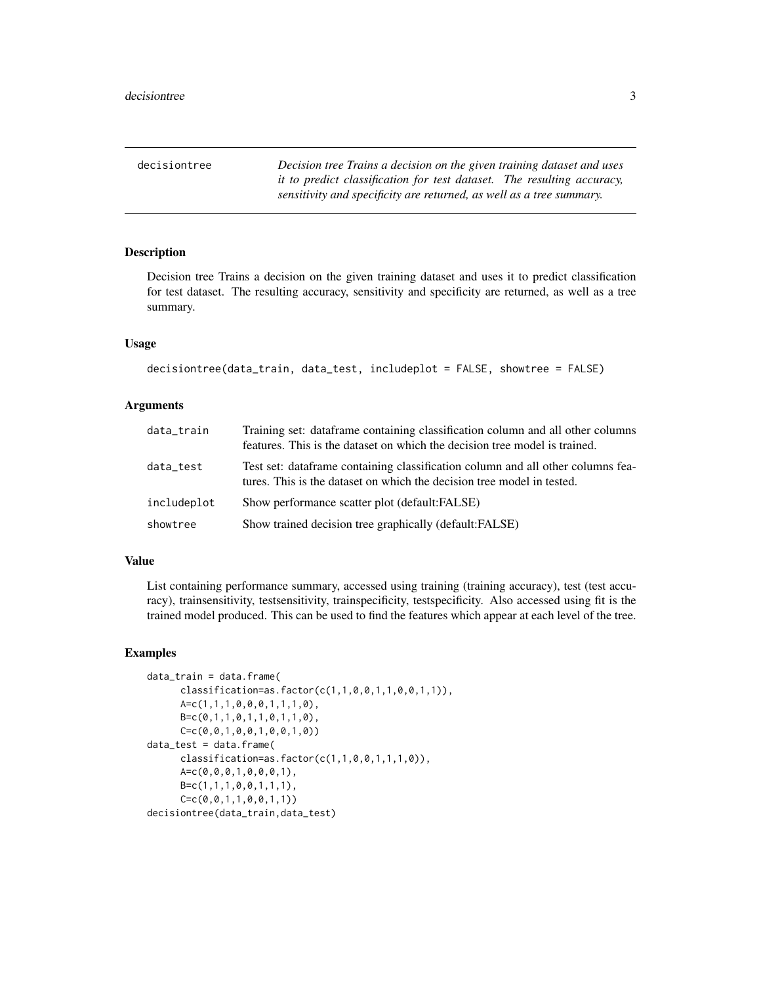<span id="page-2-0"></span>decisiontree *Decision tree Trains a decision on the given training dataset and uses it to predict classification for test dataset. The resulting accuracy, sensitivity and specificity are returned, as well as a tree summary.*

# **Description**

Decision tree Trains a decision on the given training dataset and uses it to predict classification for test dataset. The resulting accuracy, sensitivity and specificity are returned, as well as a tree summary.

#### Usage

```
decisiontree(data_train, data_test, includeplot = FALSE, showtree = FALSE)
```
#### Arguments

| data_train  | Training set: dataframe containing classification column and all other columns<br>features. This is the dataset on which the decision tree model is trained. |
|-------------|--------------------------------------------------------------------------------------------------------------------------------------------------------------|
| data_test   | Test set: dataframe containing classification column and all other columns fea-<br>tures. This is the dataset on which the decision tree model in tested.    |
| includeplot | Show performance scatter plot (default:FALSE)                                                                                                                |
| showtree    | Show trained decision tree graphically (default: FALSE)                                                                                                      |

# Value

List containing performance summary, accessed using training (training accuracy), test (test accuracy), trainsensitivity, testsensitivity, trainspecificity, testspecificity. Also accessed using fit is the trained model produced. This can be used to find the features which appear at each level of the tree.

```
data_train = data.frame(
     classification=as.factor(c(1,1,0,0,1,1,0,0,1,1)),
     A=c(1,1,1,0,0,0,1,1,1,0),
     B=c(0,1,1,0,1,1,0,1,1,0),
     C=c(0,0,1,0,0,1,0,0,1,0))
data_test = data.frame(
     classification=as.factor(c(1,1,0,0,1,1,1,0)),
     A=c(0,0,0,1,0,0,0,1),
     B=c(1,1,1,0,0,1,1,1),
     C=c(0,0,1,1,0,0,1,1))
decisiontree(data_train,data_test)
```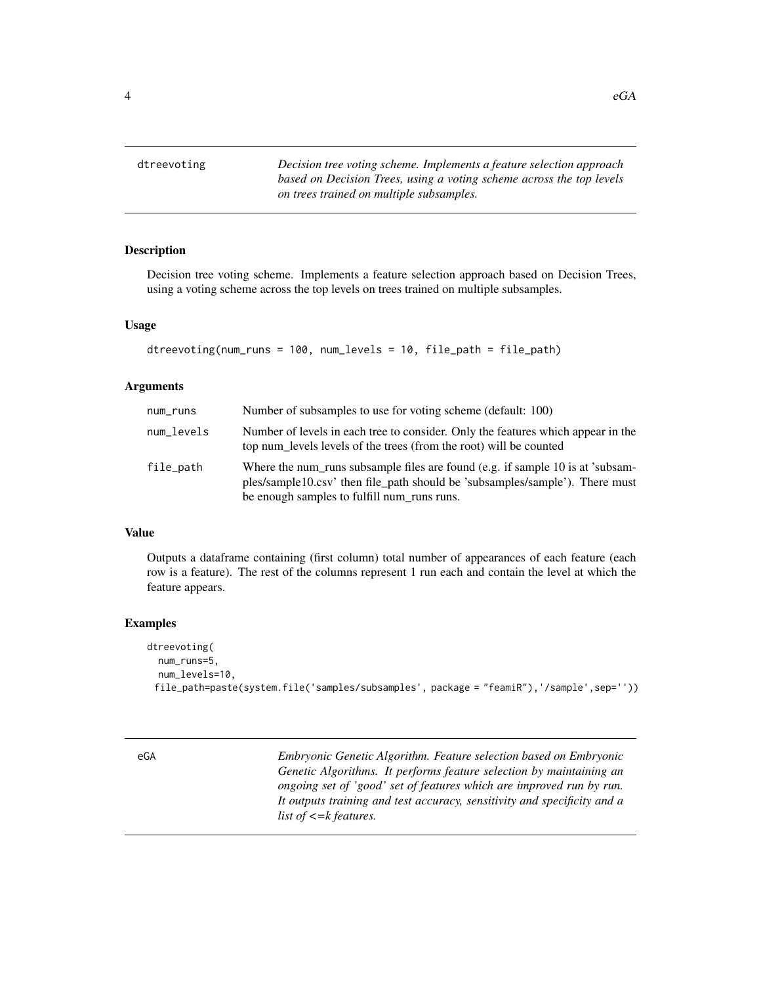<span id="page-3-0"></span>dtreevoting *Decision tree voting scheme. Implements a feature selection approach based on Decision Trees, using a voting scheme across the top levels on trees trained on multiple subsamples.*

# Description

Decision tree voting scheme. Implements a feature selection approach based on Decision Trees, using a voting scheme across the top levels on trees trained on multiple subsamples.

#### Usage

```
dtreevoting(num_runs = 100, num_levels = 10, file_path = file_path)
```
#### Arguments

| num_runs   | Number of subsamples to use for voting scheme (default: 100)                                                                                                                                                  |
|------------|---------------------------------------------------------------------------------------------------------------------------------------------------------------------------------------------------------------|
| num_levels | Number of levels in each tree to consider. Only the features which appear in the<br>top num_levels levels of the trees (from the root) will be counted                                                        |
| file_path  | Where the num_runs subsample files are found (e.g. if sample 10 is at 'subsam-<br>ples/sample10.csv' then file_path should be 'subsamples/sample'). There must<br>be enough samples to fulfill num_runs runs. |

# Value

Outputs a dataframe containing (first column) total number of appearances of each feature (each row is a feature). The rest of the columns represent 1 run each and contain the level at which the feature appears.

#### Examples

```
dtreevoting(
 num_runs=5,
 num_levels=10,
 file_path=paste(system.file('samples/subsamples', package = "feamiR"),'/sample',sep=''))
```
eGA *Embryonic Genetic Algorithm. Feature selection based on Embryonic Genetic Algorithms. It performs feature selection by maintaining an ongoing set of 'good' set of features which are improved run by run. It outputs training and test accuracy, sensitivity and specificity and a list of <=k features.*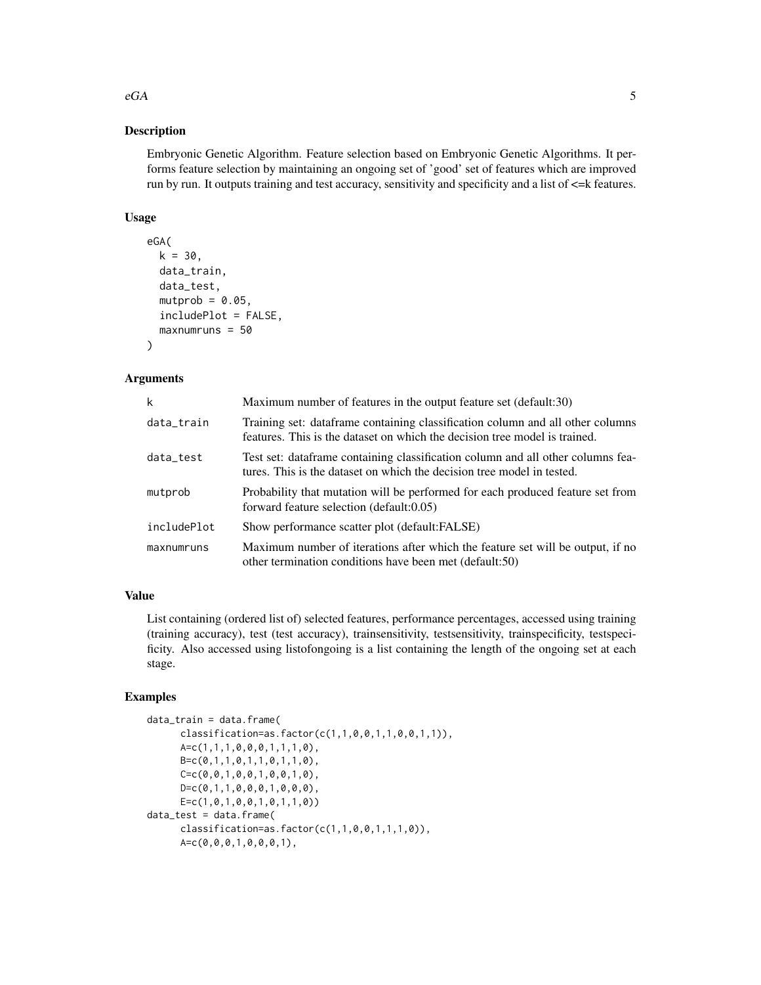# Description

Embryonic Genetic Algorithm. Feature selection based on Embryonic Genetic Algorithms. It performs feature selection by maintaining an ongoing set of 'good' set of features which are improved run by run. It outputs training and test accuracy, sensitivity and specificity and a list of  $\leq$  k features.

# Usage

```
eGA(
 k = 30,data_train,
 data_test,
 mutprob = 0.05,includePlot = FALSE,
 maxnumruns = 50\lambda
```
# Arguments

| k           | Maximum number of features in the output feature set (default:30)                                                                                            |
|-------------|--------------------------------------------------------------------------------------------------------------------------------------------------------------|
| data_train  | Training set: dataframe containing classification column and all other columns<br>features. This is the dataset on which the decision tree model is trained. |
| data_test   | Test set: dataframe containing classification column and all other columns fea-<br>tures. This is the dataset on which the decision tree model in tested.    |
| mutprob     | Probability that mutation will be performed for each produced feature set from<br>forward feature selection (default:0.05)                                   |
| includePlot | Show performance scatter plot (default: FALSE)                                                                                                               |
| maxnumruns  | Maximum number of iterations after which the feature set will be output, if no<br>other termination conditions have been met (default:50)                    |

# Value

List containing (ordered list of) selected features, performance percentages, accessed using training (training accuracy), test (test accuracy), trainsensitivity, testsensitivity, trainspecificity, testspecificity. Also accessed using listofongoing is a list containing the length of the ongoing set at each stage.

# Examples

```
data_train = data.frame(
      classification=as.factor(c(1,1,0,0,1,1,0,0,1,1)),
      A=c(1,1,1,0,0,0,1,1,1,0),
      B=c(0,1,1,0,1,1,0,1,1,0),
      C=C(0,0,1,0,0,1,0,0,1,0),
      D = c(0,1,1,0,0,0,1,0,0,0),
      E=c(1, 0, 1, 0, 0, 1, 0, 1, 1, 0)data_test = data.frame(
      classification = as.factor(c(1,1,0,0,1,1,1,0)),A=c(0,0,0,1,0,0,0,1),
```
 $eG$ A 5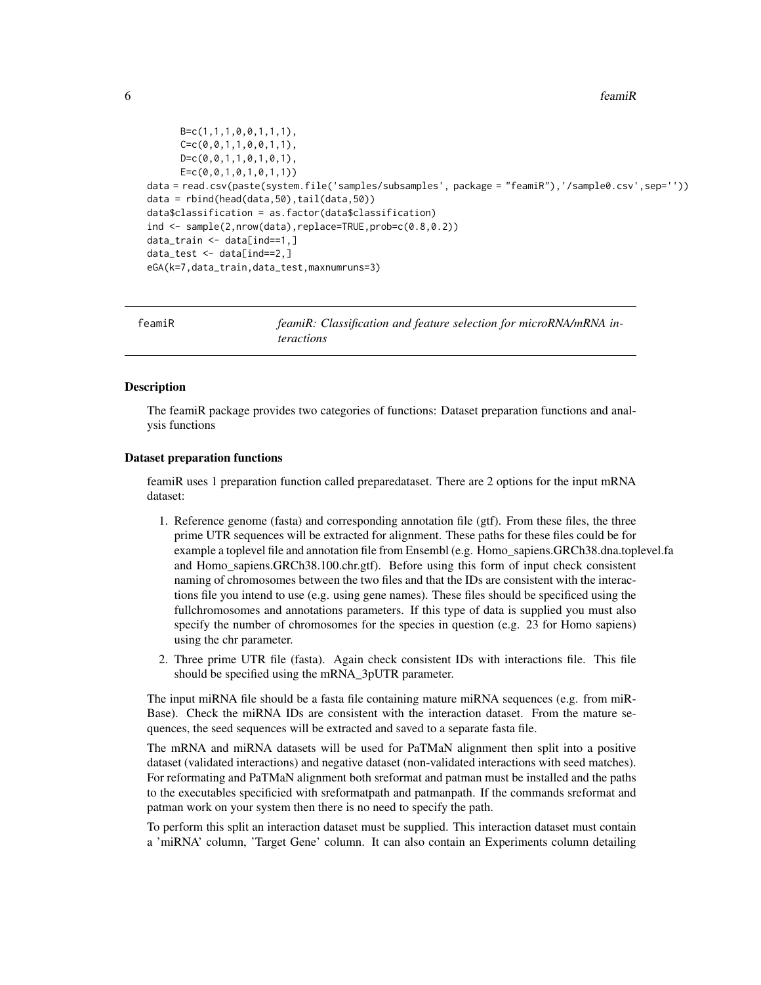<span id="page-5-0"></span>6 feamiR

```
B=c(1,1,1,0,0,1,1,1),C=C(0, 0, 1, 1, 0, 0, 1, 1),D=c(0,0,1,1,0,1,0,1),
      E=C(0, 0, 1, 0, 1, 0, 1, 1))data = read.csv(paste(system.file('samples/subsamples', package = "feamiR"),'/sample0.csv',sep=''))
data = rbind(head(data,50),tail(data,50))
data$classification = as.factor(data$classification)
ind <- sample(2,nrow(data),replace=TRUE,prob=c(0.8,0.2))
data_train <- data[ind==1,]
data_test <- data[ind==2,]
eGA(k=7,data_train,data_test,maxnumruns=3)
```

| feamiR | feamiR: Classification and feature selection for microRNA/mRNA in-<br><i>teractions</i> |
|--------|-----------------------------------------------------------------------------------------|
|        |                                                                                         |

#### **Description**

The feamiR package provides two categories of functions: Dataset preparation functions and analysis functions

#### Dataset preparation functions

feamiR uses 1 preparation function called preparedataset. There are 2 options for the input mRNA dataset:

- 1. Reference genome (fasta) and corresponding annotation file (gtf). From these files, the three prime UTR sequences will be extracted for alignment. These paths for these files could be for example a toplevel file and annotation file from Ensembl (e.g. Homo\_sapiens.GRCh38.dna.toplevel.fa and Homo\_sapiens.GRCh38.100.chr.gtf). Before using this form of input check consistent naming of chromosomes between the two files and that the IDs are consistent with the interactions file you intend to use (e.g. using gene names). These files should be specificed using the fullchromosomes and annotations parameters. If this type of data is supplied you must also specify the number of chromosomes for the species in question (e.g. 23 for Homo sapiens) using the chr parameter.
- 2. Three prime UTR file (fasta). Again check consistent IDs with interactions file. This file should be specified using the mRNA\_3pUTR parameter.

The input miRNA file should be a fasta file containing mature miRNA sequences (e.g. from miR-Base). Check the miRNA IDs are consistent with the interaction dataset. From the mature sequences, the seed sequences will be extracted and saved to a separate fasta file.

The mRNA and miRNA datasets will be used for PaTMaN alignment then split into a positive dataset (validated interactions) and negative dataset (non-validated interactions with seed matches). For reformating and PaTMaN alignment both sreformat and patman must be installed and the paths to the executables specificied with sreformatpath and patmanpath. If the commands sreformat and patman work on your system then there is no need to specify the path.

To perform this split an interaction dataset must be supplied. This interaction dataset must contain a 'miRNA' column, 'Target Gene' column. It can also contain an Experiments column detailing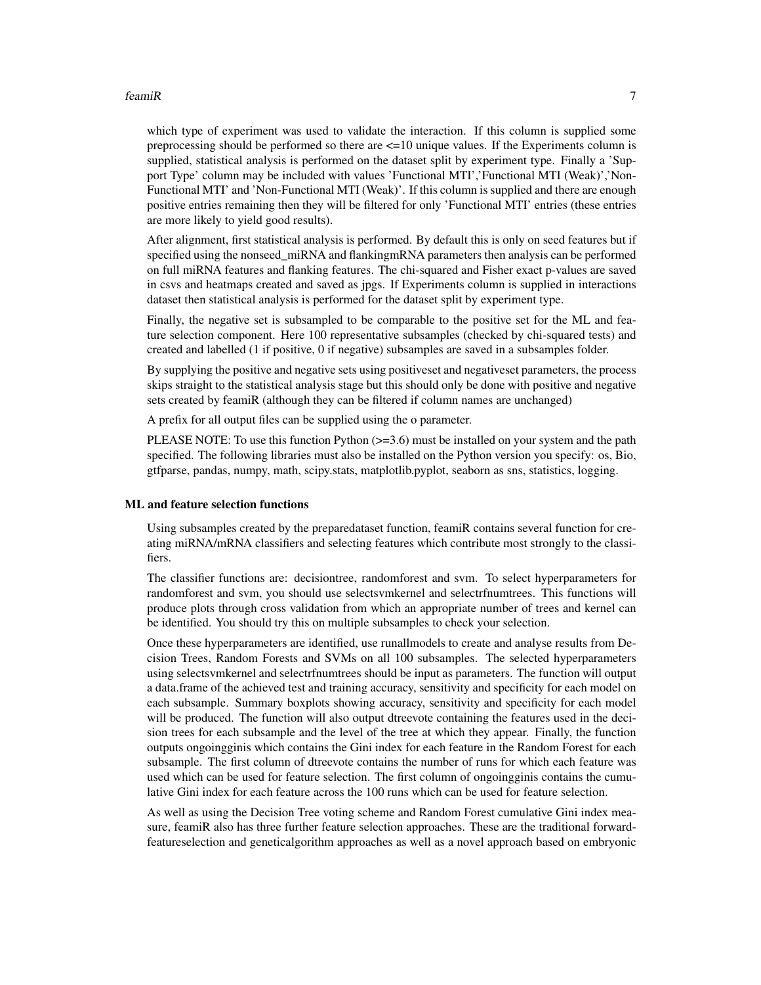#### $f$ eami $R$  7

which type of experiment was used to validate the interaction. If this column is supplied some preprocessing should be performed so there are  $\leq 10$  unique values. If the Experiments column is supplied, statistical analysis is performed on the dataset split by experiment type. Finally a 'Support Type' column may be included with values 'Functional MTI','Functional MTI (Weak)','Non-Functional MTI' and 'Non-Functional MTI (Weak)'. If this column is supplied and there are enough positive entries remaining then they will be filtered for only 'Functional MTI' entries (these entries are more likely to yield good results).

After alignment, first statistical analysis is performed. By default this is only on seed features but if specified using the nonseed miRNA and flankingmRNA parameters then analysis can be performed on full miRNA features and flanking features. The chi-squared and Fisher exact p-values are saved in csvs and heatmaps created and saved as jpgs. If Experiments column is supplied in interactions dataset then statistical analysis is performed for the dataset split by experiment type.

Finally, the negative set is subsampled to be comparable to the positive set for the ML and feature selection component. Here 100 representative subsamples (checked by chi-squared tests) and created and labelled (1 if positive, 0 if negative) subsamples are saved in a subsamples folder.

By supplying the positive and negative sets using positiveset and negativeset parameters, the process skips straight to the statistical analysis stage but this should only be done with positive and negative sets created by feamiR (although they can be filtered if column names are unchanged)

A prefix for all output files can be supplied using the o parameter.

PLEASE NOTE: To use this function Python (>=3.6) must be installed on your system and the path specified. The following libraries must also be installed on the Python version you specify: os, Bio, gtfparse, pandas, numpy, math, scipy.stats, matplotlib.pyplot, seaborn as sns, statistics, logging.

#### ML and feature selection functions

Using subsamples created by the preparedataset function, feamiR contains several function for creating miRNA/mRNA classifiers and selecting features which contribute most strongly to the classifiers.

The classifier functions are: decisiontree, randomforest and svm. To select hyperparameters for randomforest and svm, you should use selectsvmkernel and selectrfnumtrees. This functions will produce plots through cross validation from which an appropriate number of trees and kernel can be identified. You should try this on multiple subsamples to check your selection.

Once these hyperparameters are identified, use runallmodels to create and analyse results from Decision Trees, Random Forests and SVMs on all 100 subsamples. The selected hyperparameters using selectsvmkernel and selectrfnumtrees should be input as parameters. The function will output a data.frame of the achieved test and training accuracy, sensitivity and specificity for each model on each subsample. Summary boxplots showing accuracy, sensitivity and specificity for each model will be produced. The function will also output dtreevote containing the features used in the decision trees for each subsample and the level of the tree at which they appear. Finally, the function outputs ongoingginis which contains the Gini index for each feature in the Random Forest for each subsample. The first column of dtreevote contains the number of runs for which each feature was used which can be used for feature selection. The first column of ongoingginis contains the cumulative Gini index for each feature across the 100 runs which can be used for feature selection.

As well as using the Decision Tree voting scheme and Random Forest cumulative Gini index measure, feamiR also has three further feature selection approaches. These are the traditional forwardfeatureselection and geneticalgorithm approaches as well as a novel approach based on embryonic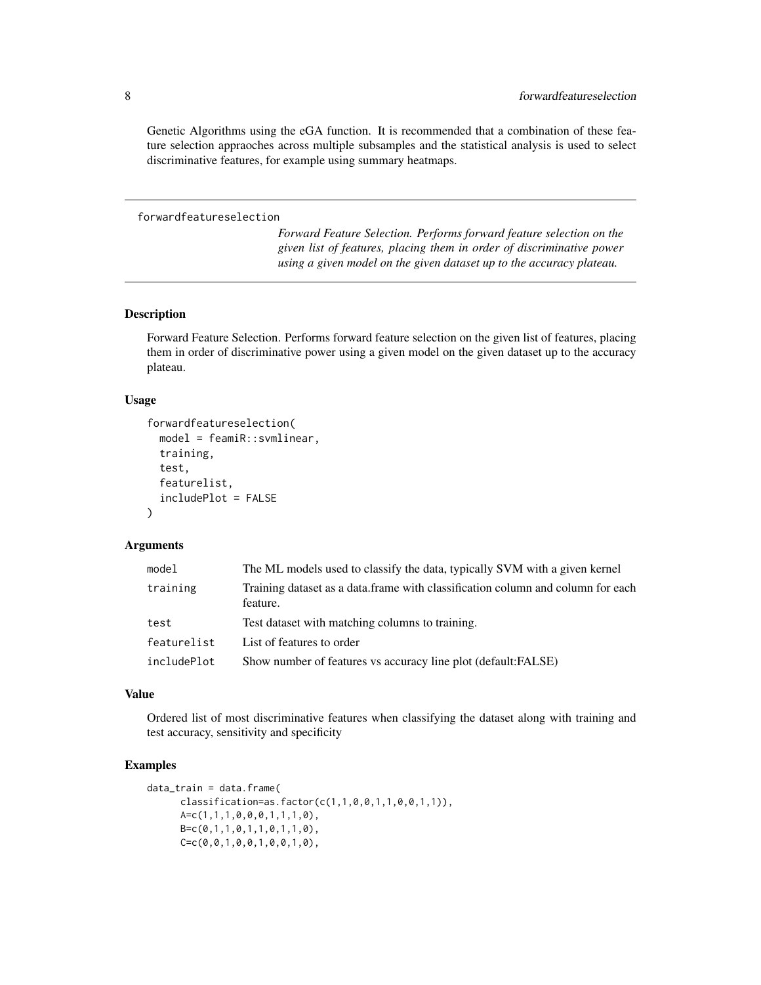Genetic Algorithms using the eGA function. It is recommended that a combination of these feature selection appraoches across multiple subsamples and the statistical analysis is used to select discriminative features, for example using summary heatmaps.

#### forwardfeatureselection

*Forward Feature Selection. Performs forward feature selection on the given list of features, placing them in order of discriminative power using a given model on the given dataset up to the accuracy plateau.*

#### Description

Forward Feature Selection. Performs forward feature selection on the given list of features, placing them in order of discriminative power using a given model on the given dataset up to the accuracy plateau.

#### Usage

```
forwardfeatureselection(
  model = feamiR::svmlinear,
  training,
  test,
  featurelist,
  includePlot = FALSE
)
```
#### Arguments

| model       | The ML models used to classify the data, typically SVM with a given kernel                   |
|-------------|----------------------------------------------------------------------------------------------|
| training    | Training dataset as a data. frame with classification column and column for each<br>feature. |
| test        | Test dataset with matching columns to training.                                              |
| featurelist | List of features to order                                                                    |
| includePlot | Show number of features vs accuracy line plot (default: FALSE)                               |

#### Value

Ordered list of most discriminative features when classifying the dataset along with training and test accuracy, sensitivity and specificity

```
data_train = data.frame(
      classification = as.factor(c(1,1,0,0,1,1,0,0,1,1)),
      A=c(1,1,1,0,0,0,1,1,1,0),
      B=c(0,1,1,0,1,1,0,1,1,0),
      C=C(0,0,1,0,0,1,0,0,1,0),
```
<span id="page-7-0"></span>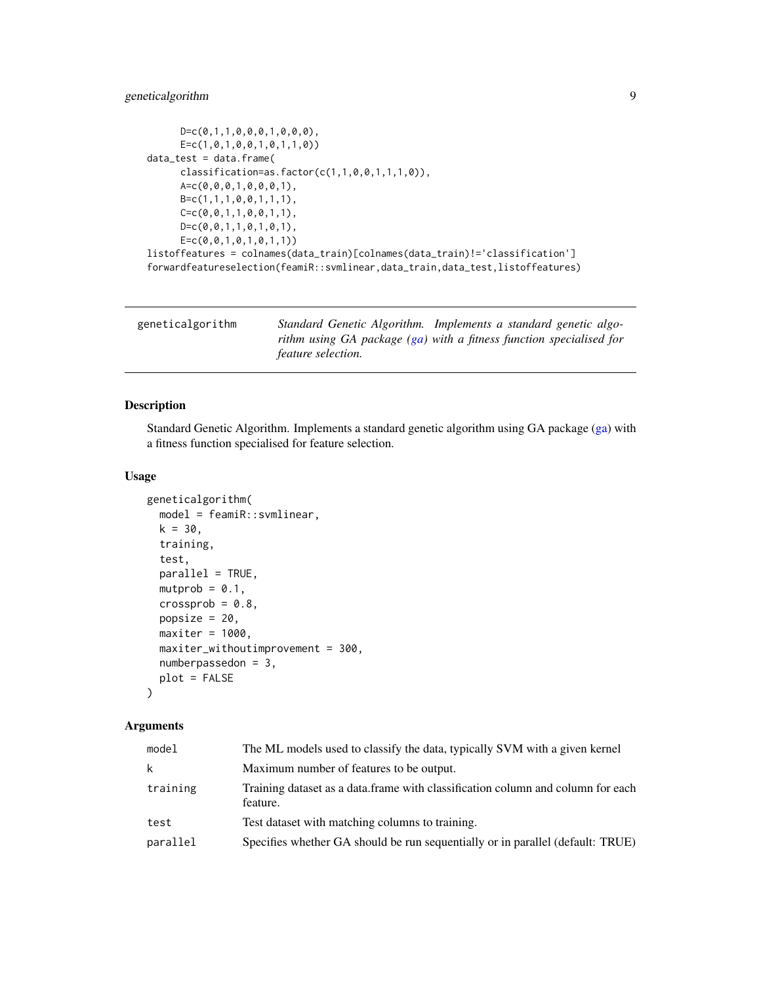# <span id="page-8-0"></span>geneticalgorithm 9

```
D=c(0,1,1,0,0,0,1,0,0,0),
      E=c(1,0,1,0,0,1,0,1,1,0))
data_test = data.frame(
     classification = as.factor(c(1,1,0,0,1,1,1,0)),A=c(0,0,0,1,0,0,0,1),
      B=c(1,1,1,0,0,1,1,1),
      C=C(0,0,1,1,0,0,1,1),
      D=c(0,0,1,1,0,1,0,1),
      E=c(0,0,1,0,1,0,1,1))
listoffeatures = colnames(data_train)[colnames(data_train)!='classification']
forwardfeatureselection(feamiR::svmlinear,data_train,data_test,listoffeatures)
```

| geneticalgorithm | Standard Genetic Algorithm. Implements a standard genetic algo-                                  |
|------------------|--------------------------------------------------------------------------------------------------|
|                  | rithm using GA package (ga) with a fitness function specialised for<br><i>feature selection.</i> |

# Description

Standard Genetic Algorithm. Implements a standard genetic algorithm using GA package [\(ga\)](#page-0-0) with a fitness function specialised for feature selection.

#### Usage

```
geneticalgorithm(
 model = feamiR::svmlinear,
 k = 30,
  training,
  test,
  parallel = TRUE,
 mutprob = 0.1,
  crossprob = 0.8,
 popsize = 20,
  maxiter = 1000,
 maxiter_withoutimprovement = 300,
  numberpassedon = 3,
 plot = FALSE
\lambda
```
# Arguments

| model    | The ML models used to classify the data, typically SVM with a given kernel                  |
|----------|---------------------------------------------------------------------------------------------|
| k        | Maximum number of features to be output.                                                    |
| training | Training dataset as a data.frame with classification column and column for each<br>feature. |
| test     | Test dataset with matching columns to training.                                             |
| parallel | Specifies whether GA should be run sequentially or in parallel (default: TRUE)              |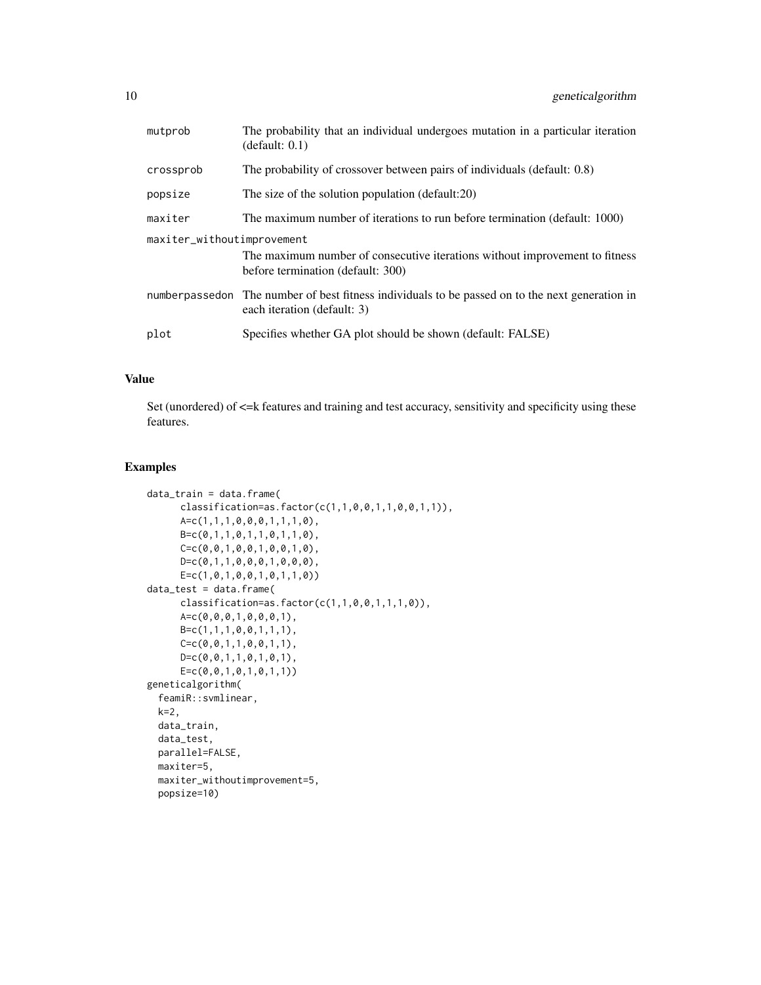| mutprob                    | The probability that an individual undergoes mutation in a particular iteration<br>(detault: 0.1)                                |  |
|----------------------------|----------------------------------------------------------------------------------------------------------------------------------|--|
| crossprob                  | The probability of crossover between pairs of individuals (default: 0.8)                                                         |  |
| popsize                    | The size of the solution population (default:20)                                                                                 |  |
| maxiter                    | The maximum number of iterations to run before termination (default: 1000)                                                       |  |
| maxiter_withoutimprovement |                                                                                                                                  |  |
|                            | The maximum number of consecutive iterations without improvement to fitness<br>before termination (default: 300)                 |  |
|                            | number passed on The number of best fitness individuals to be passed on to the next generation in<br>each iteration (default: 3) |  |
| plot                       | Specifies whether GA plot should be shown (default: FALSE)                                                                       |  |
|                            |                                                                                                                                  |  |

# Value

Set (unordered) of  $\leq$  features and training and test accuracy, sensitivity and specificity using these features.

```
data_train = data.frame(
      classification=as.factor(c(1,1,0,0,1,1,0,0,1,1)),
      A=c(1,1,1,0,0,0,1,1,1,0),
      B=c(0,1,1,0,1,1,0,1,1,0),
      C=C(0, 0, 1, 0, 0, 1, 0, 0, 1, 0),
      D = c(0, 1, 1, 0, 0, 0, 1, 0, 0, 0),
      \textsf{E=c}(1, \emptyset, 1, \emptyset, \emptyset, 1, \emptyset, 1, 1, \emptyset))data_test = data.frame(
      classification = as.factor(c(1,1,0,0,1,1,1,0)),A=c(0,0,0,1,0,0,0,1),
      B=c(1,1,1,0,0,1,1,1),C=C(0, 0, 1, 1, 0, 0, 1, 1),D=c(0,0,1,1,0,1,0,1),
      E=c(0,0,1,0,1,0,1,1))
geneticalgorithm(
  feamiR::svmlinear,
  k=2,
  data_train,
  data_test,
  parallel=FALSE,
  maxiter=5,
  maxiter_withoutimprovement=5,
  popsize=10)
```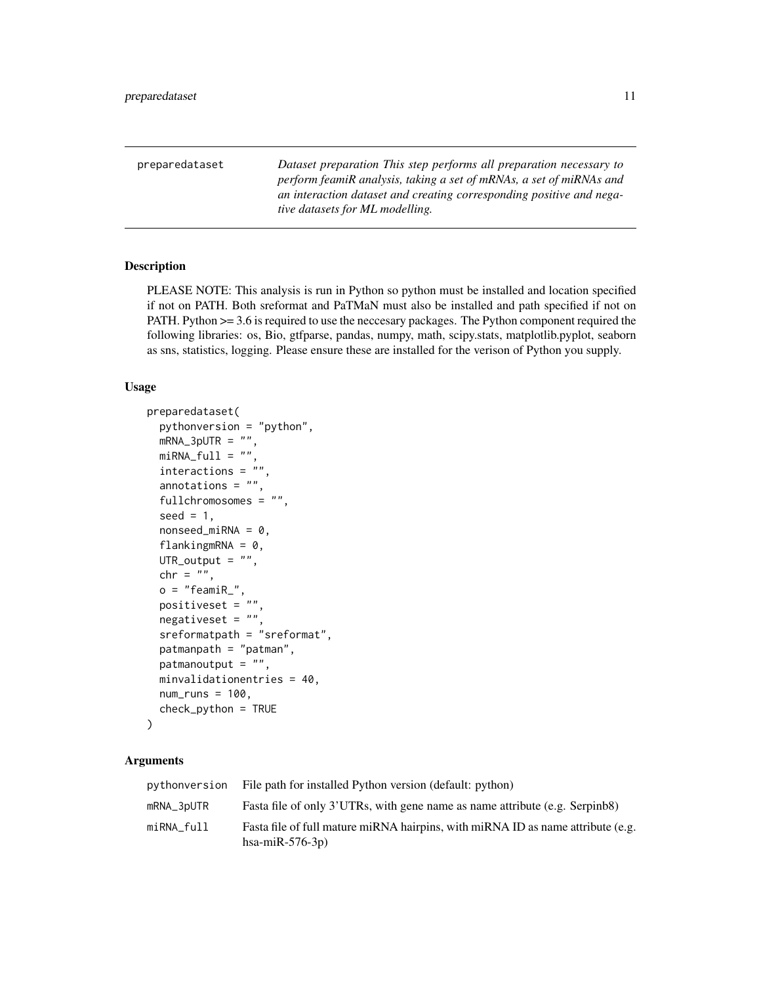<span id="page-10-0"></span>

| preparedataset | Dataset preparation This step performs all preparation necessary to<br>perform feamiR analysis, taking a set of mRNAs, a set of miRNAs and |
|----------------|--------------------------------------------------------------------------------------------------------------------------------------------|
|                | an interaction dataset and creating corresponding positive and nega-<br><i>tive datasets for ML modelling.</i>                             |

# Description

PLEASE NOTE: This analysis is run in Python so python must be installed and location specified if not on PATH. Both sreformat and PaTMaN must also be installed and path specified if not on PATH. Python >= 3.6 is required to use the neccesary packages. The Python component required the following libraries: os, Bio, gtfparse, pandas, numpy, math, scipy.stats, matplotlib.pyplot, seaborn as sns, statistics, logging. Please ensure these are installed for the verison of Python you supply.

#### Usage

```
preparedataset(
 pythonversion = "python",
 mRNA_3pUTR = "",miRNA_full = "",
 interactions = "annotations = ",
  fullchromosomes = "",
  seed = 1,
 nonseed\_miRNA = 0,flankingmRNA = 0,
 UTR_output = ",
 chr = "",o = "feamiR_",positiveset = ",
 negativeset = "",
  sreformatpath = "sreformat",
 patmanpath = "patman",
 patmanoutput = ",
 minvalidationentries = 40,
 num\_runs = 100,check_python = TRUE
)
```
# Arguments

|            | pythonversion File path for installed Python version (default: python)                                 |
|------------|--------------------------------------------------------------------------------------------------------|
| mRNA_3pUTR | Fasta file of only 3'UTRs, with gene name as name attribute (e.g. Serpinb8)                            |
| miRNA full | Fasta file of full mature miRNA hairpins, with miRNA ID as name attribute (e.g.<br>hsa-mi $R-576-3p$ ) |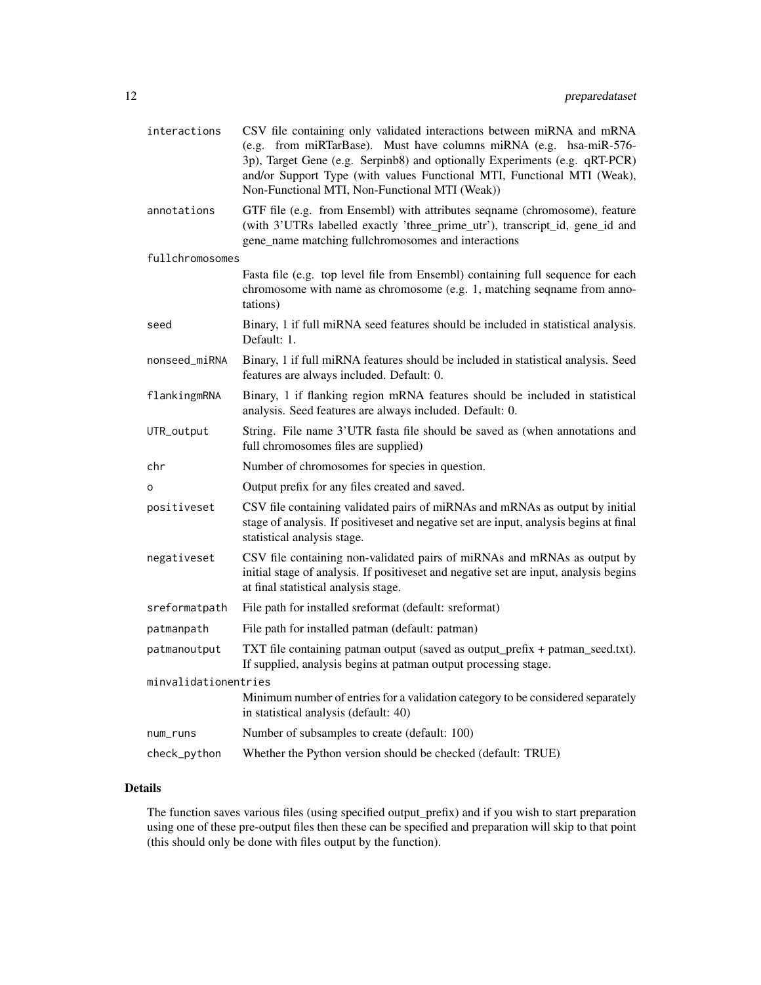| interactions         | CSV file containing only validated interactions between miRNA and mRNA<br>(e.g. from miRTarBase). Must have columns miRNA (e.g. hsa-miR-576-<br>3p), Target Gene (e.g. Serpinb8) and optionally Experiments (e.g. qRT-PCR)<br>and/or Support Type (with values Functional MTI, Functional MTI (Weak),<br>Non-Functional MTI, Non-Functional MTI (Weak)) |
|----------------------|---------------------------------------------------------------------------------------------------------------------------------------------------------------------------------------------------------------------------------------------------------------------------------------------------------------------------------------------------------|
| annotations          | GTF file (e.g. from Ensembl) with attributes seqname (chromosome), feature<br>(with 3'UTRs labelled exactly 'three_prime_utr'), transcript_id, gene_id and<br>gene_name matching fullchromosomes and interactions                                                                                                                                       |
| fullchromosomes      |                                                                                                                                                                                                                                                                                                                                                         |
|                      | Fasta file (e.g. top level file from Ensembl) containing full sequence for each<br>chromosome with name as chromosome (e.g. 1, matching seqname from anno-<br>tations)                                                                                                                                                                                  |
| seed                 | Binary, 1 if full miRNA seed features should be included in statistical analysis.<br>Default: 1.                                                                                                                                                                                                                                                        |
| nonseed_miRNA        | Binary, 1 if full miRNA features should be included in statistical analysis. Seed<br>features are always included. Default: 0.                                                                                                                                                                                                                          |
| flankingmRNA         | Binary, 1 if flanking region mRNA features should be included in statistical<br>analysis. Seed features are always included. Default: 0.                                                                                                                                                                                                                |
| UTR_output           | String. File name 3'UTR fasta file should be saved as (when annotations and<br>full chromosomes files are supplied)                                                                                                                                                                                                                                     |
| chr                  | Number of chromosomes for species in question.                                                                                                                                                                                                                                                                                                          |
| o                    | Output prefix for any files created and saved.                                                                                                                                                                                                                                                                                                          |
| positiveset          | CSV file containing validated pairs of miRNAs and mRNAs as output by initial<br>stage of analysis. If positiveset and negative set are input, analysis begins at final<br>statistical analysis stage.                                                                                                                                                   |
| negativeset          | CSV file containing non-validated pairs of miRNAs and mRNAs as output by<br>initial stage of analysis. If positiveset and negative set are input, analysis begins<br>at final statistical analysis stage.                                                                                                                                               |
| sreformatpath        | File path for installed sreformat (default: sreformat)                                                                                                                                                                                                                                                                                                  |
| patmanpath           | File path for installed patman (default: patman)                                                                                                                                                                                                                                                                                                        |
| patmanoutput         | TXT file containing patman output (saved as output_prefix + patman_seed.txt).<br>If supplied, analysis begins at patman output processing stage.                                                                                                                                                                                                        |
| minvalidationentries |                                                                                                                                                                                                                                                                                                                                                         |
|                      | Minimum number of entries for a validation category to be considered separately<br>in statistical analysis (default: 40)                                                                                                                                                                                                                                |
| num_runs             | Number of subsamples to create (default: 100)                                                                                                                                                                                                                                                                                                           |
| check_python         | Whether the Python version should be checked (default: TRUE)                                                                                                                                                                                                                                                                                            |

# Details

The function saves various files (using specified output\_prefix) and if you wish to start preparation using one of these pre-output files then these can be specified and preparation will skip to that point (this should only be done with files output by the function).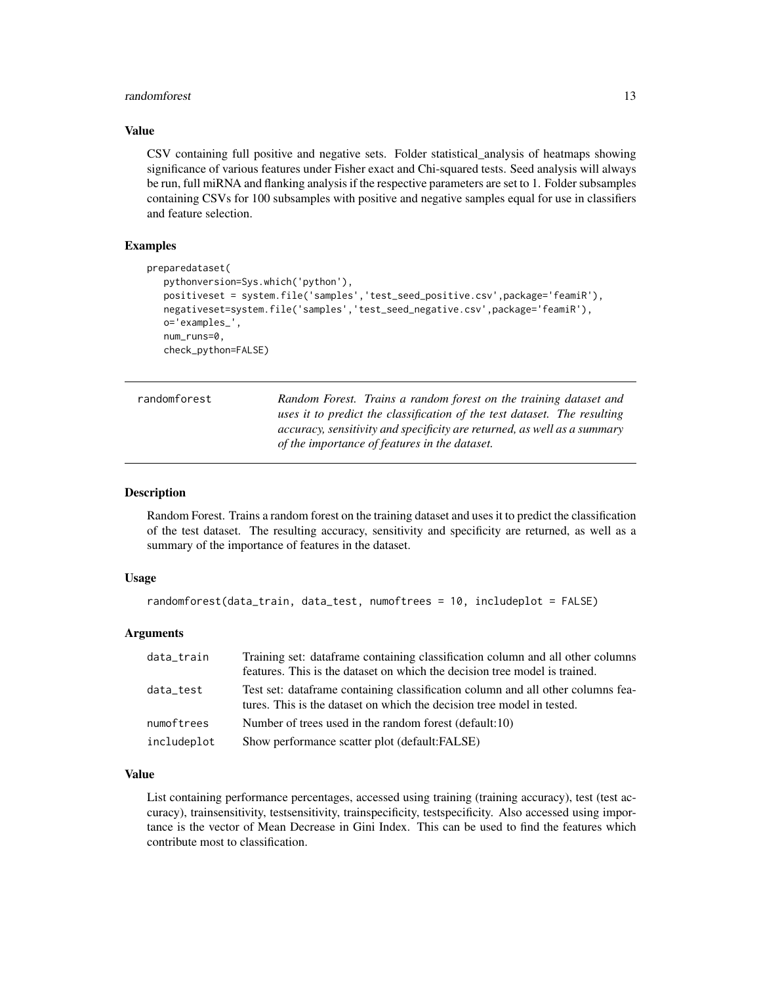#### <span id="page-12-0"></span>randomforest and the state of the state of the state of the state of the state of the state of the state of the state of the state of the state of the state of the state of the state of the state of the state of the state

#### Value

CSV containing full positive and negative sets. Folder statistical\_analysis of heatmaps showing significance of various features under Fisher exact and Chi-squared tests. Seed analysis will always be run, full miRNA and flanking analysis if the respective parameters are set to 1. Folder subsamples containing CSVs for 100 subsamples with positive and negative samples equal for use in classifiers and feature selection.

# Examples

```
preparedataset(
  pythonversion=Sys.which('python'),
  positiveset = system.file('samples','test_seed_positive.csv',package='feamiR'),
  negativeset=system.file('samples','test_seed_negative.csv',package='feamiR'),
  o='examples_',
  num_runs=0,
  check_python=FALSE)
```

| randomforest | Random Forest. Trains a random forest on the training dataset and        |
|--------------|--------------------------------------------------------------------------|
|              | uses it to predict the classification of the test dataset. The resulting |
|              | accuracy, sensitivity and specificity are returned, as well as a summary |
|              | of the importance of features in the dataset.                            |

#### Description

Random Forest. Trains a random forest on the training dataset and uses it to predict the classification of the test dataset. The resulting accuracy, sensitivity and specificity are returned, as well as a summary of the importance of features in the dataset.

#### Usage

```
randomforest(data_train, data_test, numoftrees = 10, includeplot = FALSE)
```
#### Arguments

| data_train  | Training set: dataframe containing classification column and all other columns<br>features. This is the dataset on which the decision tree model is trained. |
|-------------|--------------------------------------------------------------------------------------------------------------------------------------------------------------|
| data_test   | Test set: dataframe containing classification column and all other columns fea-<br>tures. This is the dataset on which the decision tree model in tested.    |
| numoftrees  | Number of trees used in the random forest (default:10)                                                                                                       |
| includeplot | Show performance scatter plot (default:FALSE)                                                                                                                |

## Value

List containing performance percentages, accessed using training (training accuracy), test (test accuracy), trainsensitivity, testsensitivity, trainspecificity, testspecificity. Also accessed using importance is the vector of Mean Decrease in Gini Index. This can be used to find the features which contribute most to classification.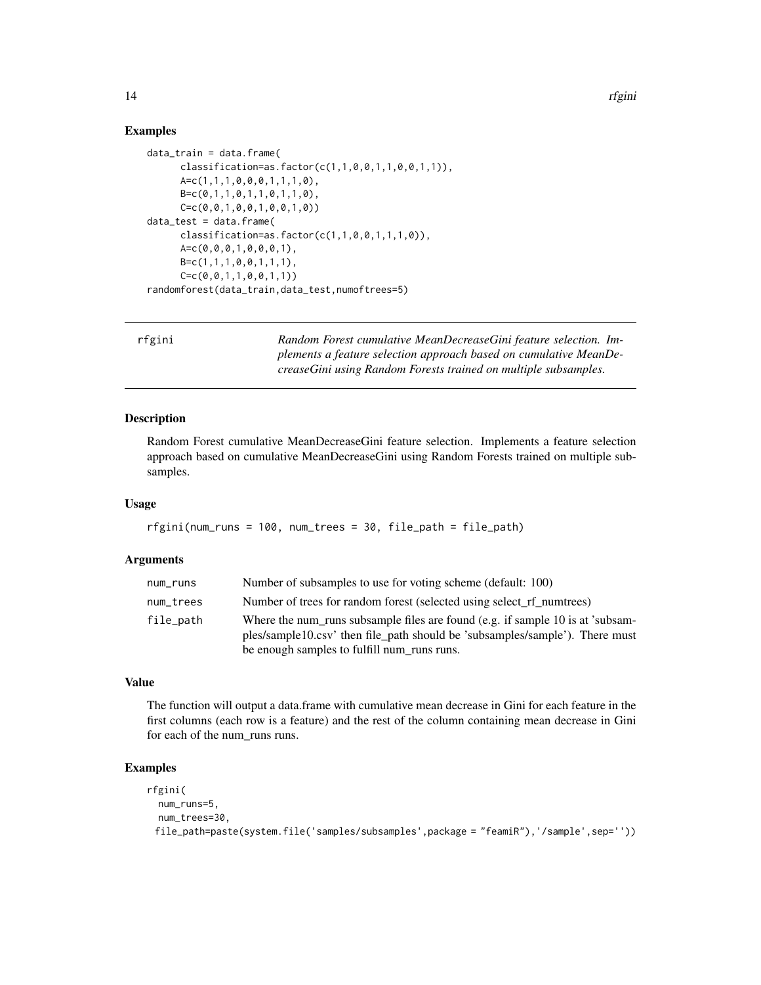#### Examples

```
data_train = data.frame(
      classification=as.factor(c(1,1,0,0,1,1,0,0,1,1)),
      A=c(1,1,1,0,0,0,1,1,1,0),
      B=c(0,1,1,0,1,1,0,1,1,0),
      C=c(0,0,1,0,0,1,0,0,1,0))
data_test = data.frame(
      classification=as.factor(c(1,1,0,0,1,1,1,0)),
      A=c(0,0,0,1,0,0,0,1),
      B=c(1,1,1,0,0,1,1,1),C=C(0, 0, 1, 1, 0, 0, 1, 1))randomforest(data_train,data_test,numoftrees=5)
```

| rfgini | Random Forest cumulative MeanDecreaseGini feature selection. Im-  |
|--------|-------------------------------------------------------------------|
|        | plements a feature selection approach based on cumulative MeanDe- |
|        | creaseGini using Random Forests trained on multiple subsamples.   |

#### Description

Random Forest cumulative MeanDecreaseGini feature selection. Implements a feature selection approach based on cumulative MeanDecreaseGini using Random Forests trained on multiple subsamples.

#### Usage

```
rfgini(num_runs = 100, num_trees = 30, file_path = file_path)
```
# Arguments

| num_runs  | Number of subsamples to use for voting scheme (default: 100)                                                                                                                                                  |
|-----------|---------------------------------------------------------------------------------------------------------------------------------------------------------------------------------------------------------------|
| num_trees | Number of trees for random forest (selected using select rf numtrees)                                                                                                                                         |
| file_path | Where the num runs subsample files are found (e.g. if sample 10 is at 'subsam-<br>ples/sample10.csv' then file_path should be 'subsamples/sample'). There must<br>be enough samples to fulfill num_runs runs. |

## Value

The function will output a data.frame with cumulative mean decrease in Gini for each feature in the first columns (each row is a feature) and the rest of the column containing mean decrease in Gini for each of the num\_runs runs.

```
rfgini(
 num_runs=5,
 num_trees=30,
 file_path=paste(system.file('samples/subsamples',package = "feamiR"),'/sample',sep=''))
```
<span id="page-13-0"></span>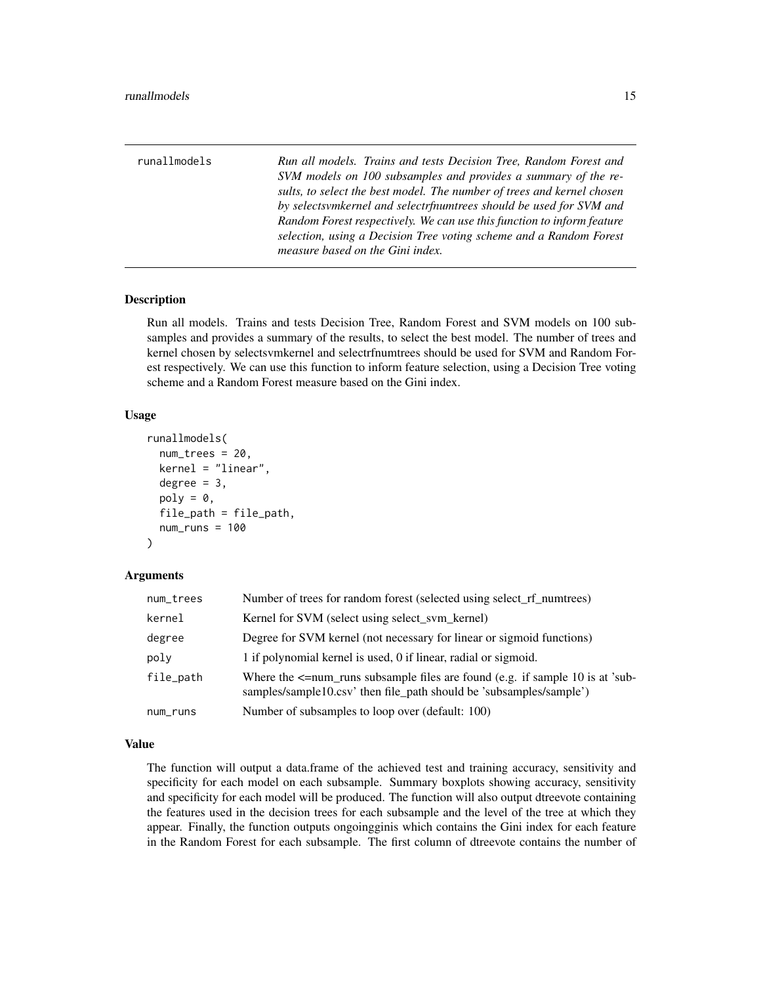<span id="page-14-0"></span>

| runallmodels | Run all models. Trains and tests Decision Tree, Random Forest and<br>SVM models on 100 subsamples and provides a summary of the re-          |
|--------------|----------------------------------------------------------------------------------------------------------------------------------------------|
|              | sults, to select the best model. The number of trees and kernel chosen<br>by selectsvmkernel and selectrfnumtrees should be used for SVM and |
|              | Random Forest respectively. We can use this function to inform feature                                                                       |
|              | selection, using a Decision Tree voting scheme and a Random Forest                                                                           |
|              | measure based on the Gini index.                                                                                                             |

# Description

Run all models. Trains and tests Decision Tree, Random Forest and SVM models on 100 subsamples and provides a summary of the results, to select the best model. The number of trees and kernel chosen by selectsvmkernel and selectrfnumtrees should be used for SVM and Random Forest respectively. We can use this function to inform feature selection, using a Decision Tree voting scheme and a Random Forest measure based on the Gini index.

#### Usage

```
runallmodels(
  num\_trees = 20,
  kernel = "linear",
  degree = 3,
  poly = 0,
  file_path = file_path,
  num\_runs = 100\lambda
```
# Arguments

| num_trees | Number of trees for random forest (selected using select rf numtrees)                                                                                     |
|-----------|-----------------------------------------------------------------------------------------------------------------------------------------------------------|
| kernel    | Kernel for SVM (select using select sym kernel)                                                                                                           |
| degree    | Degree for SVM kernel (not necessary for linear or sigmoid functions)                                                                                     |
| poly      | 1 if polynomial kernel is used, 0 if linear, radial or sigmoid.                                                                                           |
| file_path | Where the $\le$ =num_runs subsample files are found (e.g. if sample 10 is at 'sub-<br>samples/sample10.csv' then file_path should be 'subsamples/sample') |
| num_runs  | Number of subsamples to loop over (default: 100)                                                                                                          |

#### Value

The function will output a data.frame of the achieved test and training accuracy, sensitivity and specificity for each model on each subsample. Summary boxplots showing accuracy, sensitivity and specificity for each model will be produced. The function will also output dtreevote containing the features used in the decision trees for each subsample and the level of the tree at which they appear. Finally, the function outputs ongoingginis which contains the Gini index for each feature in the Random Forest for each subsample. The first column of dtreevote contains the number of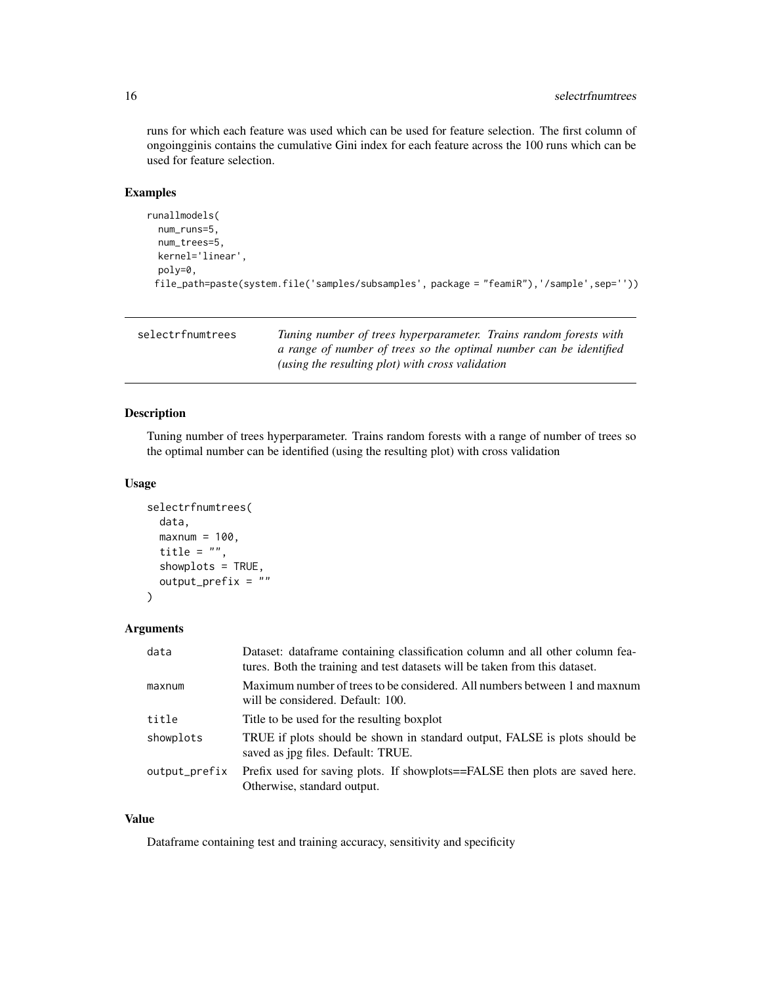#### <span id="page-15-0"></span>16 selectrfnumtrees

runs for which each feature was used which can be used for feature selection. The first column of ongoingginis contains the cumulative Gini index for each feature across the 100 runs which can be used for feature selection.

# Examples

```
runallmodels(
 num_runs=5,
 num_trees=5,
 kernel='linear',
 poly=0,
 file_path=paste(system.file('samples/subsamples', package = "feamiR"),'/sample',sep=''))
```

| selectrfnumtrees | Tuning number of trees hyperparameter. Trains random forests with  |
|------------------|--------------------------------------------------------------------|
|                  | a range of number of trees so the optimal number can be identified |
|                  | (using the resulting plot) with cross validation                   |

# Description

Tuning number of trees hyperparameter. Trains random forests with a range of number of trees so the optimal number can be identified (using the resulting plot) with cross validation

#### Usage

```
selectrfnumtrees(
  data,
 maxnum = 100,
  title = ",
  showplots = TRUE,
  output_prefix = ""
)
```
# Arguments

| data          | Dataset: dataframe containing classification column and all other column fea-<br>tures. Both the training and test datasets will be taken from this dataset. |
|---------------|--------------------------------------------------------------------------------------------------------------------------------------------------------------|
| maxnum        | Maximum number of trees to be considered. All numbers between 1 and maximum<br>will be considered. Default: 100.                                             |
| title         | Title to be used for the resulting boxplot                                                                                                                   |
| showplots     | TRUE if plots should be shown in standard output, FALSE is plots should be<br>saved as jpg files. Default: TRUE.                                             |
| output_prefix | Prefix used for saving plots. If showplots==FALSE then plots are saved here.<br>Otherwise, standard output.                                                  |

#### Value

Dataframe containing test and training accuracy, sensitivity and specificity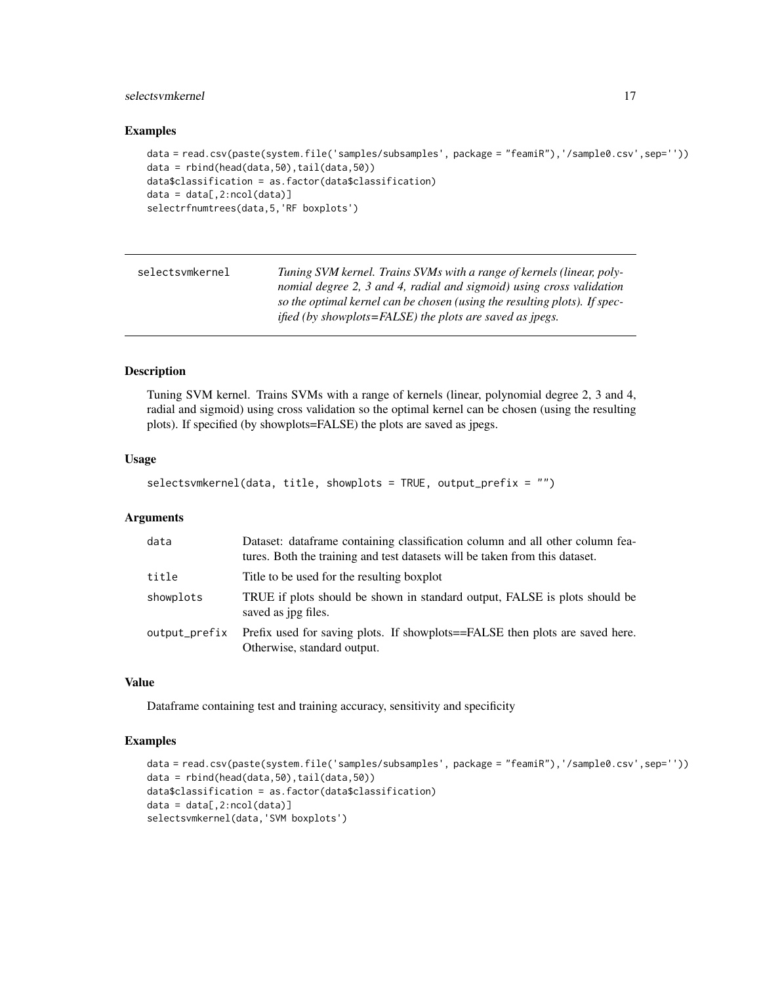# <span id="page-16-0"></span>selectsvmkernel 17

#### Examples

```
data = read.csv(paste(system.file('samples/subsamples', package = "feamiR"),'/sample0.csv',sep=''))
data = rbind(head(data,50),tail(data,50))
data$classification = as.factor(data$classification)
data = data[, 2:ncol(data)]selectrfnumtrees(data,5,'RF boxplots')
```

| selectsvmkernel | Tuning SVM kernel. Trains SVMs with a range of kernels (linear, poly-     |
|-----------------|---------------------------------------------------------------------------|
|                 | nomial degree 2, 3 and 4, radial and sigmoid) using cross validation      |
|                 | so the optimal kernel can be chosen (using the resulting plots). If spec- |
|                 | <i>ified (by showplots=FALSE) the plots are saved as ipegs.</i>           |

#### Description

Tuning SVM kernel. Trains SVMs with a range of kernels (linear, polynomial degree 2, 3 and 4, radial and sigmoid) using cross validation so the optimal kernel can be chosen (using the resulting plots). If specified (by showplots=FALSE) the plots are saved as jpegs.

#### Usage

```
selectsvmkernel(data, title, showplots = TRUE, output_prefix = "")
```
#### Arguments

| data          | Dataset: dataframe containing classification column and all other column fea-<br>tures. Both the training and test datasets will be taken from this dataset. |
|---------------|--------------------------------------------------------------------------------------------------------------------------------------------------------------|
| title         | Title to be used for the resulting boxplot                                                                                                                   |
| showplots     | TRUE if plots should be shown in standard output, FALSE is plots should be<br>saved as jpg files.                                                            |
| output_prefix | Prefix used for saving plots. If showplots==FALSE then plots are saved here.<br>Otherwise, standard output.                                                  |

#### Value

Dataframe containing test and training accuracy, sensitivity and specificity

```
data = read.csv(paste(system.file('samples/subsamples', package = "feamiR"),'/sample0.csv',sep=''))
data = rbind(head(data,50),tail(data,50))
data$classification = as.factor(data$classification)
data = data[, 2:ncol(data)]selectsvmkernel(data,'SVM boxplots')
```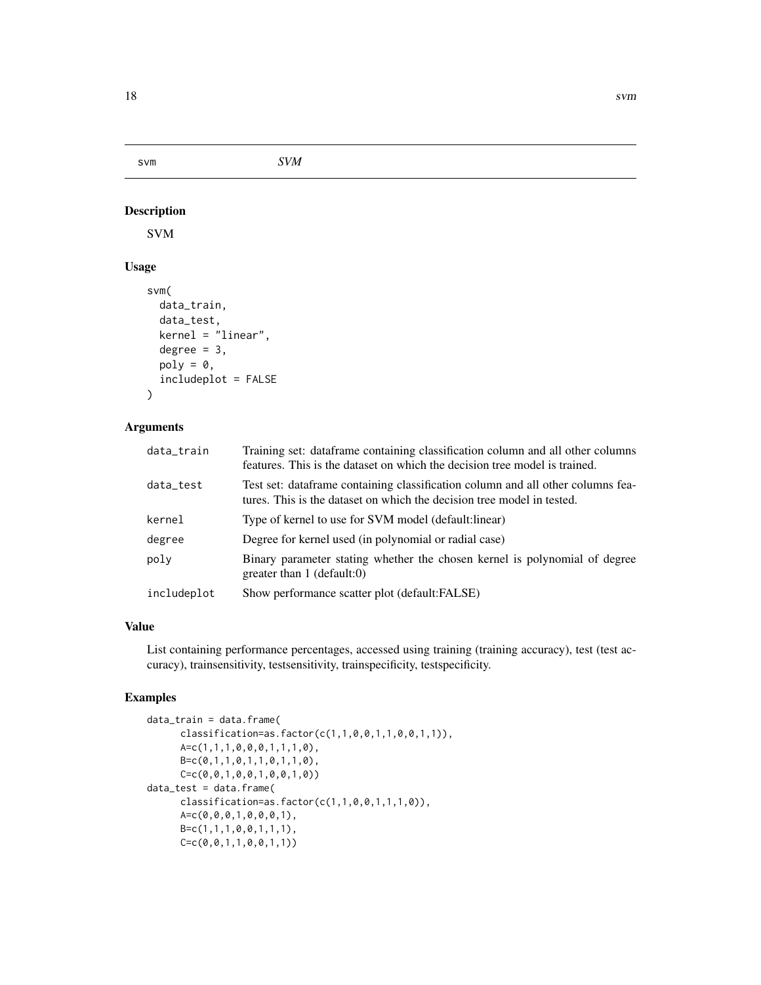<span id="page-17-0"></span>svm *SVM*

#### Description

SVM

# Usage

```
svm(
  data_train,
  data_test,
  kernel = "linear",
  degree = 3,
 poly = 0,
  includeplot = FALSE
)
```
#### Arguments

| data_train  | Training set: dataframe containing classification column and all other columns<br>features. This is the dataset on which the decision tree model is trained. |
|-------------|--------------------------------------------------------------------------------------------------------------------------------------------------------------|
| data_test   | Test set: dataframe containing classification column and all other columns fea-<br>tures. This is the dataset on which the decision tree model in tested.    |
| kernel      | Type of kernel to use for SVM model (default: linear)                                                                                                        |
| degree      | Degree for kernel used (in polynomial or radial case)                                                                                                        |
| polv        | Binary parameter stating whether the chosen kernel is polynomial of degree<br>greater than $1$ (default:0)                                                   |
| includeplot | Show performance scatter plot (default: FALSE)                                                                                                               |
|             |                                                                                                                                                              |

# Value

List containing performance percentages, accessed using training (training accuracy), test (test accuracy), trainsensitivity, testsensitivity, trainspecificity, testspecificity.

```
data_train = data.frame(
     classification=as.factor(c(1,1,0,0,1,1,0,0,1,1)),
     A=c(1,1,1,0,0,0,1,1,1,0),
     B=c(0,1,1,0,1,1,0,1,1,0),
     C=c(0,0,1,0,0,1,0,0,1,0))
data_test = data.frame(
     classification = as.factor(c(1,1,0,0,1,1,1,0)),A=c(0,0,0,1,0,0,0,1),
     B=c(1,1,1,0,0,1,1,1),
     C=c(0,0,1,1,0,0,1,1))
```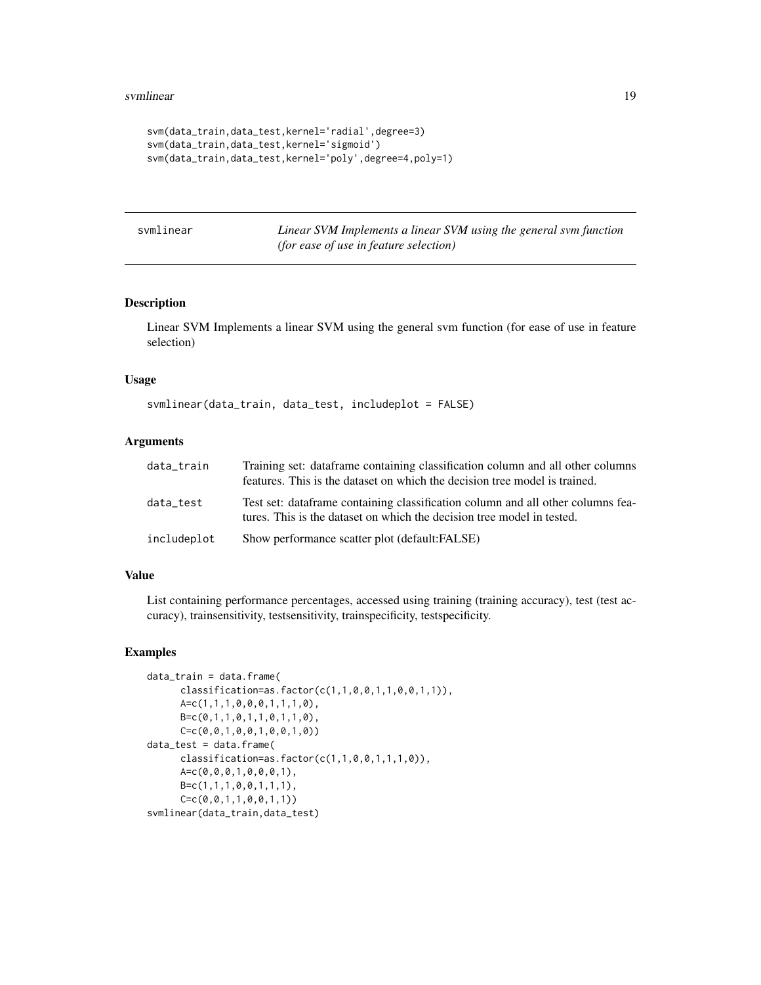```
svm(data_train,data_test,kernel='radial',degree=3)
svm(data_train,data_test,kernel='sigmoid')
svm(data_train,data_test,kernel='poly',degree=4,poly=1)
```

| svmlinear |
|-----------|
|           |
|           |

Linear SVM Implements a linear SVM using the general svm function *(for ease of use in feature selection)*

# Description

Linear SVM Implements a linear SVM using the general svm function (for ease of use in feature selection)

#### Usage

svmlinear(data\_train, data\_test, includeplot = FALSE)

#### Arguments

| data_train  | Training set: dataframe containing classification column and all other columns<br>features. This is the dataset on which the decision tree model is trained. |
|-------------|--------------------------------------------------------------------------------------------------------------------------------------------------------------|
| data test   | Test set: dataframe containing classification column and all other columns fea-<br>tures. This is the dataset on which the decision tree model in tested.    |
| includeplot | Show performance scatter plot (default:FALSE)                                                                                                                |

# Value

List containing performance percentages, accessed using training (training accuracy), test (test accuracy), trainsensitivity, testsensitivity, trainspecificity, testspecificity.

```
data_train = data.frame(
     classification=as.factor(c(1,1,0,0,1,1,0,0,1,1)),
     A=c(1,1,1,0,0,0,1,1,1,0),
     B=c(0,1,1,0,1,1,0,1,1,0),
     C=c(0,0,1,0,0,1,0,0,1,0))
data_test = data.frame(
     classification=as.factor(c(1,1,0,0,1,1,1,0)),
     A=c(0,0,0,1,0,0,0,1),
     B=c(1,1,1,0,0,1,1,1),
     C=c(0,0,1,1,0,0,1,1))
svmlinear(data_train,data_test)
```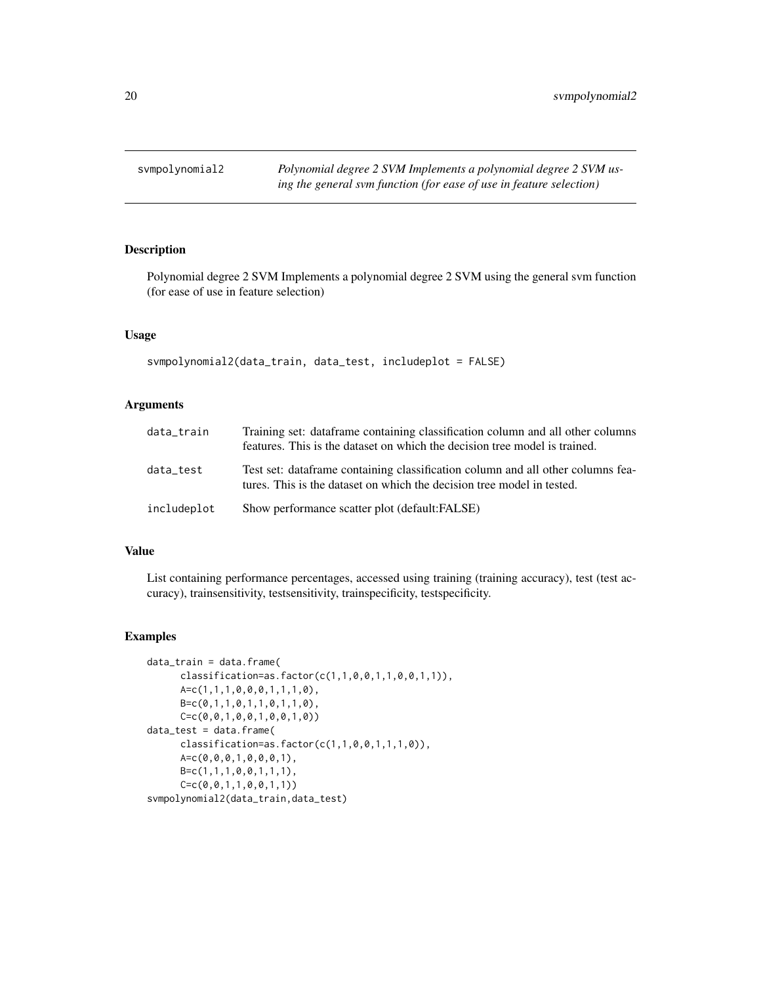<span id="page-19-0"></span>svmpolynomial2 *Polynomial degree 2 SVM Implements a polynomial degree 2 SVM using the general svm function (for ease of use in feature selection)*

# Description

Polynomial degree 2 SVM Implements a polynomial degree 2 SVM using the general svm function (for ease of use in feature selection)

# Usage

```
svmpolynomial2(data_train, data_test, includeplot = FALSE)
```
# Arguments

| data_train  | Training set: dataframe containing classification column and all other columns<br>features. This is the dataset on which the decision tree model is trained. |
|-------------|--------------------------------------------------------------------------------------------------------------------------------------------------------------|
| data test   | Test set: dataframe containing classification column and all other columns fea-<br>tures. This is the dataset on which the decision tree model in tested.    |
| includeplot | Show performance scatter plot (default: FALSE)                                                                                                               |

#### Value

List containing performance percentages, accessed using training (training accuracy), test (test accuracy), trainsensitivity, testsensitivity, trainspecificity, testspecificity.

```
data_train = data.frame(
      classification = as.factor(c(1,1,0,0,1,1,0,0,1,1)),
      A=c(1,1,1,0,0,0,1,1,1,0),
      B=c(0,1,1,0,1,1,0,1,1,0),
      C=c(0,0,1,0,0,1,0,0,1,0))
data_test = data.frame(
      classification=as.factor(c(1,1,0,0,1,1,1,0)),
      A=c(0,0,0,1,0,0,0,1),
      B=c(1,1,1,0,0,1,1,1),
      C=C(0, 0, 1, 1, 0, 0, 1, 1))svmpolynomial2(data_train,data_test)
```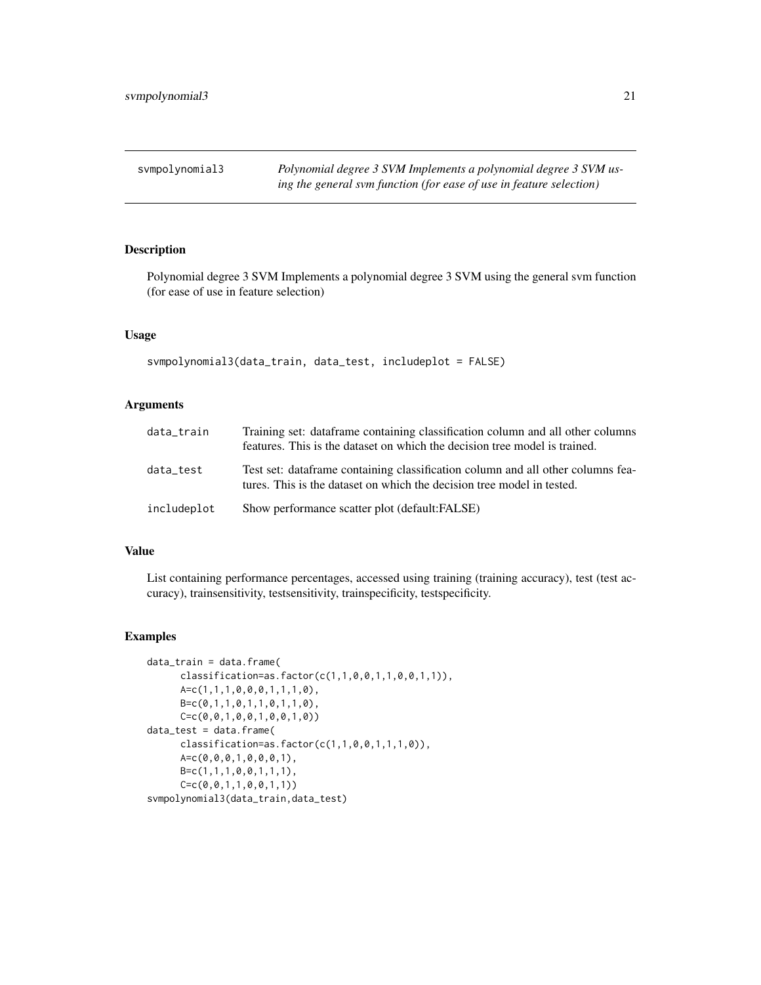<span id="page-20-0"></span>svmpolynomial3 *Polynomial degree 3 SVM Implements a polynomial degree 3 SVM using the general svm function (for ease of use in feature selection)*

# Description

Polynomial degree 3 SVM Implements a polynomial degree 3 SVM using the general svm function (for ease of use in feature selection)

# Usage

```
svmpolynomial3(data_train, data_test, includeplot = FALSE)
```
# Arguments

| data_train  | Training set: dataframe containing classification column and all other columns<br>features. This is the dataset on which the decision tree model is trained. |
|-------------|--------------------------------------------------------------------------------------------------------------------------------------------------------------|
| data test   | Test set: dataframe containing classification column and all other columns fea-<br>tures. This is the dataset on which the decision tree model in tested.    |
| includeplot | Show performance scatter plot (default: FALSE)                                                                                                               |

#### Value

List containing performance percentages, accessed using training (training accuracy), test (test accuracy), trainsensitivity, testsensitivity, trainspecificity, testspecificity.

```
data_train = data.frame(
      classification = as.factor(c(1,1,0,0,1,1,0,0,1,1)),
      A=c(1,1,1,0,0,0,1,1,1,0),
      B=c(0,1,1,0,1,1,0,1,1,0),
      C=c(0,0,1,0,0,1,0,0,1,0))
data_test = data.frame(
      classification=as.factor(c(1,1,0,0,1,1,1,0)),
      A=c(0,0,0,1,0,0,0,1),
      B=c(1,1,1,0,0,1,1,1),
      C=C(0, 0, 1, 1, 0, 0, 1, 1))svmpolynomial3(data_train,data_test)
```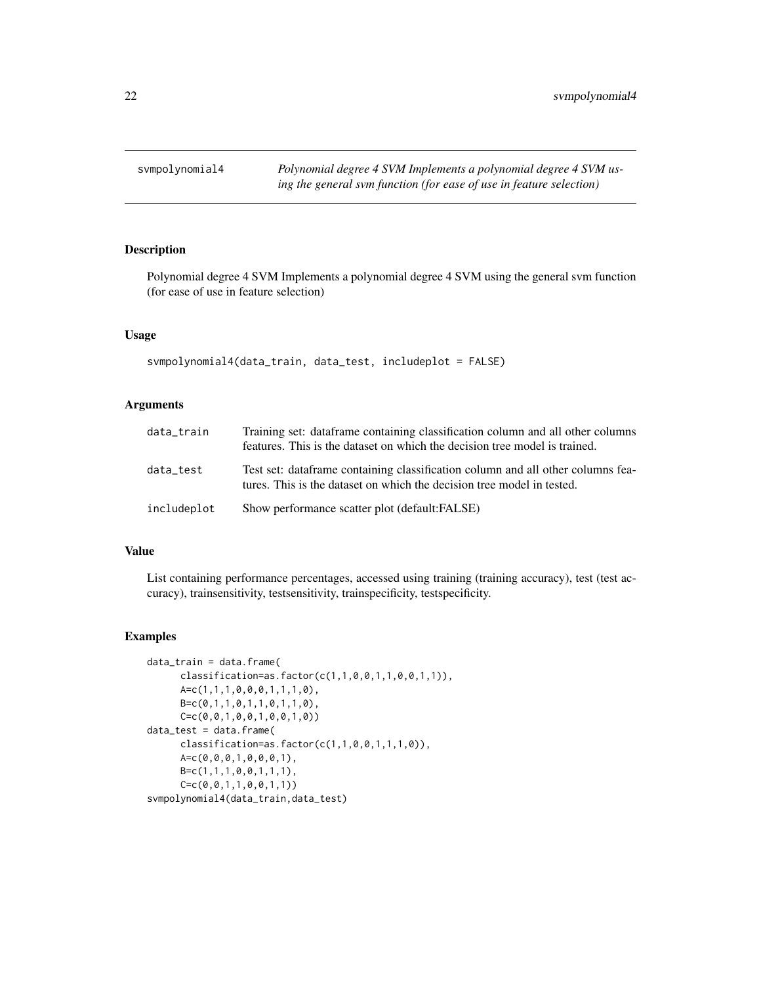<span id="page-21-0"></span>svmpolynomial4 *Polynomial degree 4 SVM Implements a polynomial degree 4 SVM using the general svm function (for ease of use in feature selection)*

# Description

Polynomial degree 4 SVM Implements a polynomial degree 4 SVM using the general svm function (for ease of use in feature selection)

# Usage

```
svmpolynomial4(data_train, data_test, includeplot = FALSE)
```
# Arguments

| data_train  | Training set: dataframe containing classification column and all other columns<br>features. This is the dataset on which the decision tree model is trained. |
|-------------|--------------------------------------------------------------------------------------------------------------------------------------------------------------|
| data test   | Test set: dataframe containing classification column and all other columns fea-<br>tures. This is the dataset on which the decision tree model in tested.    |
| includeplot | Show performance scatter plot (default: FALSE)                                                                                                               |

#### Value

List containing performance percentages, accessed using training (training accuracy), test (test accuracy), trainsensitivity, testsensitivity, trainspecificity, testspecificity.

```
data_train = data.frame(
      classification = as.factor(c(1,1,0,0,1,1,0,0,1,1)),
      A=c(1,1,1,0,0,0,1,1,1,0),
      B=c(0,1,1,0,1,1,0,1,1,0),
      C=c(0,0,1,0,0,1,0,0,1,0))
data_test = data.frame(
      classification=as.factor(c(1,1,0,0,1,1,1,0)),
      A=c(0,0,0,1,0,0,0,1),
      B=c(1,1,1,0,0,1,1,1),
      C=C(0, 0, 1, 1, 0, 0, 1, 1))svmpolynomial4(data_train,data_test)
```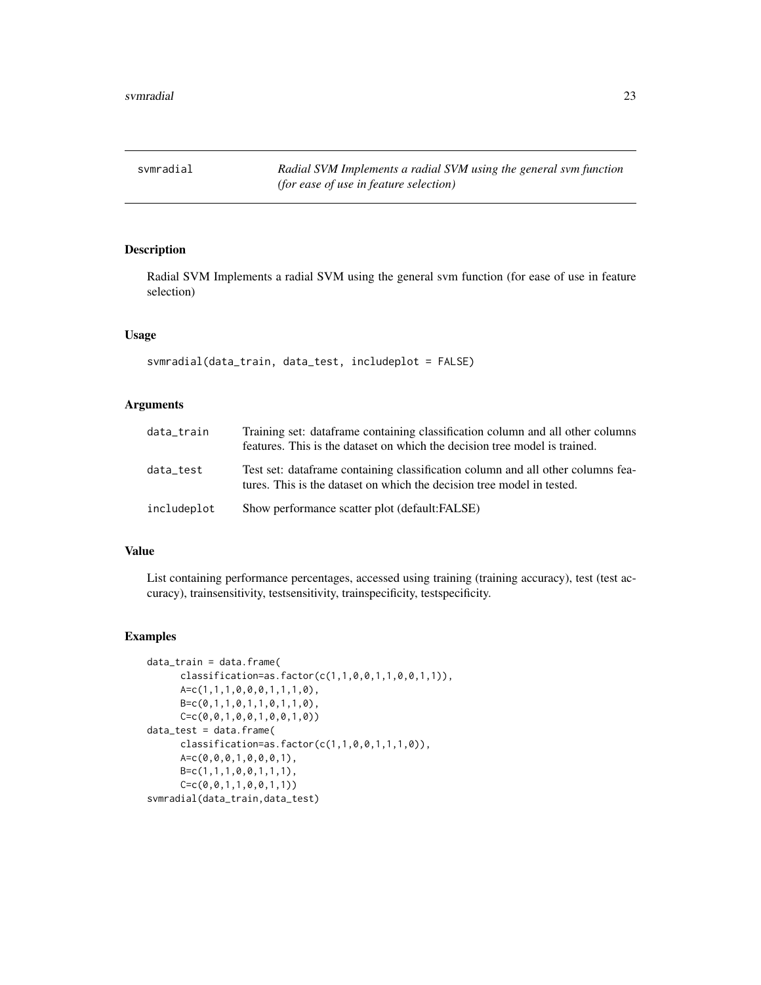<span id="page-22-0"></span>svmradial *Radial SVM Implements a radial SVM using the general svm function (for ease of use in feature selection)*

# Description

Radial SVM Implements a radial SVM using the general svm function (for ease of use in feature selection)

# Usage

```
svmradial(data_train, data_test, includeplot = FALSE)
```
# Arguments

| data_train  | Training set: dataframe containing classification column and all other columns<br>features. This is the dataset on which the decision tree model is trained. |
|-------------|--------------------------------------------------------------------------------------------------------------------------------------------------------------|
| data test   | Test set: dataframe containing classification column and all other columns fea-<br>tures. This is the dataset on which the decision tree model in tested.    |
| includeplot | Show performance scatter plot (default: FALSE)                                                                                                               |

#### Value

List containing performance percentages, accessed using training (training accuracy), test (test accuracy), trainsensitivity, testsensitivity, trainspecificity, testspecificity.

```
data_train = data.frame(
     classification = as.factor(c(1,1,0,0,1,1,0,0,1,1)),
     A=c(1,1,1,0,0,0,1,1,1,0),
     B=c(0,1,1,0,1,1,0,1,1,0),
     C=c(0,0,1,0,0,1,0,0,1,0))
data_test = data.frame(
     classification=as.factor(c(1,1,0,0,1,1,1,0)),
     A=c(0,0,0,1,0,0,0,1),
     B=c(1,1,1,0,0,1,1,1),
     C=c(0,0,1,1,0,0,1,1))
svmradial(data_train,data_test)
```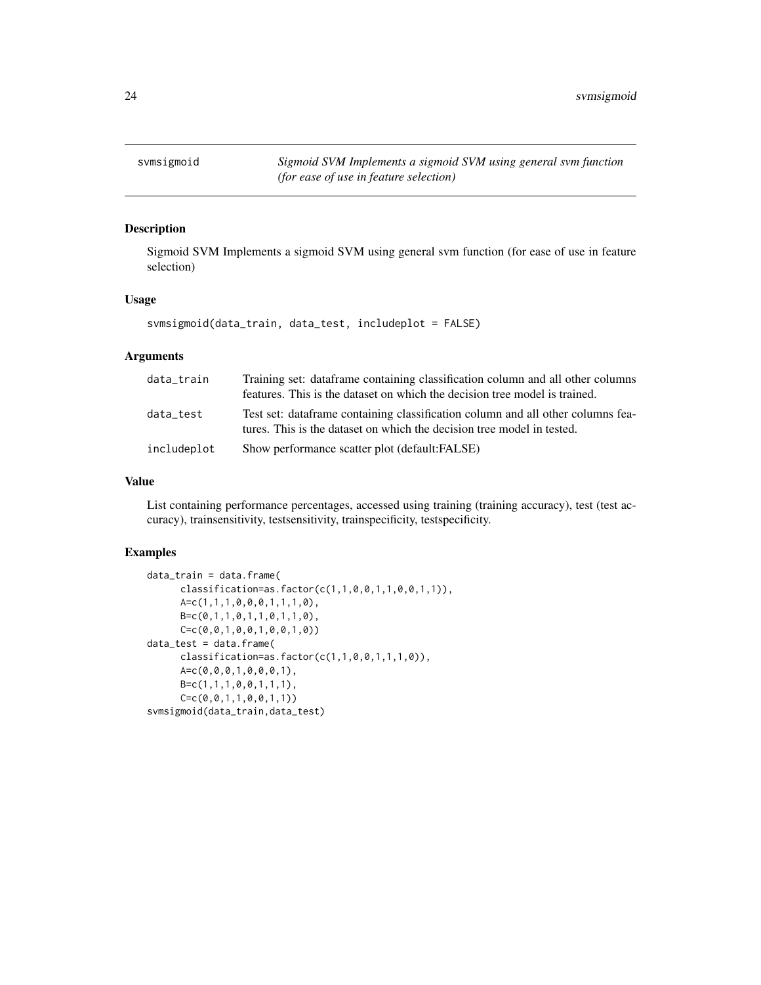<span id="page-23-0"></span>svmsigmoid *Sigmoid SVM Implements a sigmoid SVM using general svm function (for ease of use in feature selection)*

# Description

Sigmoid SVM Implements a sigmoid SVM using general svm function (for ease of use in feature selection)

# Usage

svmsigmoid(data\_train, data\_test, includeplot = FALSE)

# Arguments

| data_train  | Training set: dataframe containing classification column and all other columns<br>features. This is the dataset on which the decision tree model is trained. |
|-------------|--------------------------------------------------------------------------------------------------------------------------------------------------------------|
| data test   | Test set: dataframe containing classification column and all other columns fea-<br>tures. This is the dataset on which the decision tree model in tested.    |
| includeplot | Show performance scatter plot (default:FALSE)                                                                                                                |

# Value

List containing performance percentages, accessed using training (training accuracy), test (test accuracy), trainsensitivity, testsensitivity, trainspecificity, testspecificity.

```
data_train = data.frame(
     classification=as.factor(c(1,1,0,0,1,1,0,0,1,1)),
     A=c(1,1,1,0,0,0,1,1,1,0),
     B=c(0,1,1,0,1,1,0,1,1,0),
     C=c(0,0,1,0,0,1,0,0,1,0))
data_test = data.frame(
     classification=as.factor(c(1,1,0,0,1,1,1,0)),
     A=c(0,0,0,1,0,0,0,1),
     B=c(1,1,1,0,0,1,1,1),
     C=c(0,0,1,1,0,0,1,1))
svmsigmoid(data_train,data_test)
```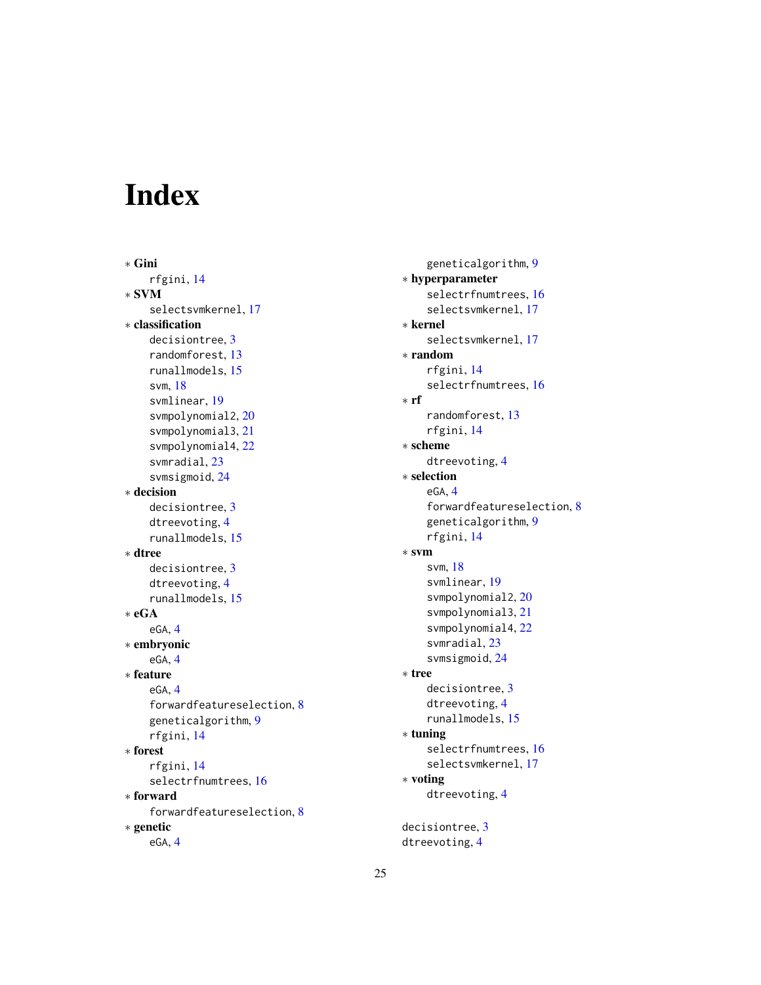# <span id="page-24-0"></span>Index

∗ Gini rfgini, [14](#page-13-0) ∗ SVM selectsvmkernel, [17](#page-16-0) ∗ classification decisiontree, [3](#page-2-0) randomforest, [13](#page-12-0) runallmodels, [15](#page-14-0) svm, [18](#page-17-0) svmlinear, [19](#page-18-0) svmpolynomial2, [20](#page-19-0) svmpolynomial3, [21](#page-20-0) svmpolynomial4, [22](#page-21-0) svmradial, [23](#page-22-0) svmsigmoid, [24](#page-23-0) ∗ decision decisiontree, [3](#page-2-0) dtreevoting, [4](#page-3-0) runallmodels, [15](#page-14-0) ∗ dtree decisiontree, [3](#page-2-0) dtreevoting, [4](#page-3-0) runallmodels, [15](#page-14-0) ∗ eGA eGA, [4](#page-3-0) ∗ embryonic eGA, [4](#page-3-0) ∗ feature eGA, [4](#page-3-0) forwardfeatureselection, [8](#page-7-0) geneticalgorithm, [9](#page-8-0) rfgini, [14](#page-13-0) ∗ forest rfgini, [14](#page-13-0) selectrfnumtrees, [16](#page-15-0) ∗ forward forwardfeatureselection, [8](#page-7-0) ∗ genetic eGA, [4](#page-3-0)

geneticalgorithm, [9](#page-8-0) ∗ hyperparameter selectrfnumtrees, [16](#page-15-0) selectsvmkernel, [17](#page-16-0) ∗ kernel selectsvmkernel, [17](#page-16-0) ∗ random rfgini, [14](#page-13-0) selectrfnumtrees, [16](#page-15-0) ∗ rf randomforest, [13](#page-12-0) rfgini, [14](#page-13-0) ∗ scheme dtreevoting, [4](#page-3-0) ∗ selection eGA, [4](#page-3-0) forwardfeatureselection, [8](#page-7-0) geneticalgorithm, [9](#page-8-0) rfgini, [14](#page-13-0) ∗ svm svm, [18](#page-17-0) svmlinear, [19](#page-18-0) svmpolynomial2, [20](#page-19-0) svmpolynomial3, [21](#page-20-0) svmpolynomial4, [22](#page-21-0) svmradial, [23](#page-22-0) svmsigmoid, [24](#page-23-0) ∗ tree decisiontree, [3](#page-2-0) dtreevoting, [4](#page-3-0) runallmodels, [15](#page-14-0) ∗ tuning selectrfnumtrees, [16](#page-15-0) selectsvmkernel, [17](#page-16-0) ∗ voting dtreevoting, [4](#page-3-0) decisiontree, [3](#page-2-0)

dtreevoting, [4](#page-3-0)